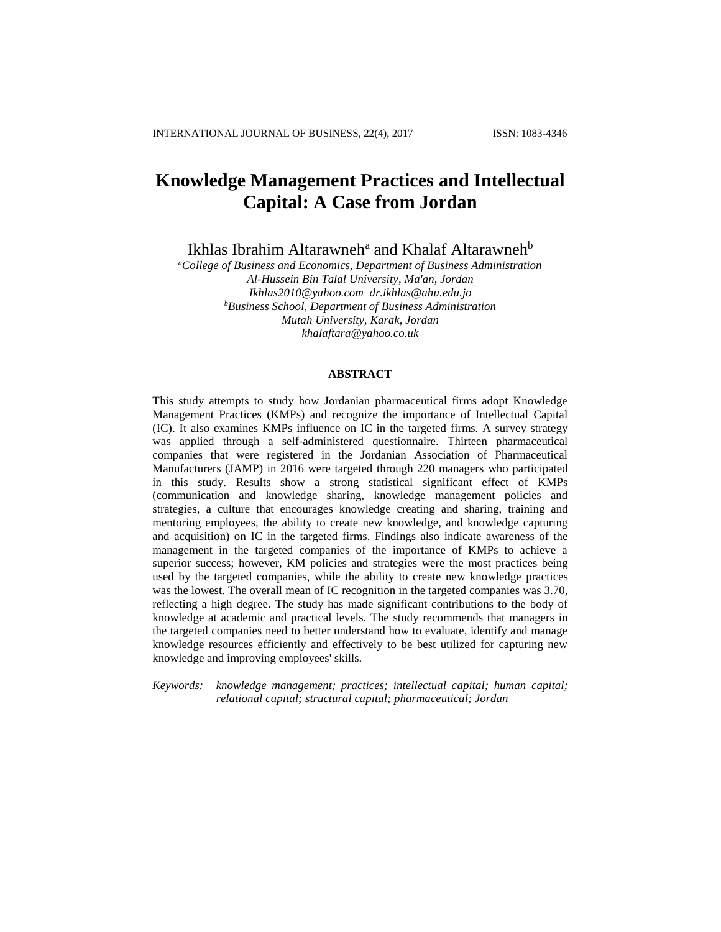# **Knowledge Management Practices and Intellectual Capital: A Case from Jordan**

Ikhlas Ibrahim Altarawneh<sup>a</sup> and Khalaf Altarawneh<sup>b</sup>

*<sup>a</sup>College of Business and Economics, Department of Business Administration Al-Hussein Bin Talal University, Ma'an, Jordan Ikhlas2010@yahoo.com dr.ikhlas@ahu.edu.jo <sup>b</sup>Business School, Department of Business Administration Mutah University, Karak, Jordan khalaftara@yahoo.co.uk*

# **ABSTRACT**

This study attempts to study how Jordanian pharmaceutical firms adopt Knowledge Management Practices (KMPs) and recognize the importance of Intellectual Capital (IC). It also examines KMPs influence on IC in the targeted firms. A survey strategy was applied through a self-administered questionnaire. Thirteen pharmaceutical companies that were registered in the Jordanian Association of Pharmaceutical Manufacturers (JAMP) in 2016 were targeted through 220 managers who participated in this study. Results show a strong statistical significant effect of KMPs (communication and knowledge sharing, knowledge management policies and strategies, a culture that encourages knowledge creating and sharing, training and mentoring employees, the ability to create new knowledge, and knowledge capturing and acquisition) on IC in the targeted firms. Findings also indicate awareness of the management in the targeted companies of the importance of KMPs to achieve a superior success; however, KM policies and strategies were the most practices being used by the targeted companies, while the ability to create new knowledge practices was the lowest. The overall mean of IC recognition in the targeted companies was 3.70, reflecting a high degree. The study has made significant contributions to the body of knowledge at academic and practical levels. The study recommends that managers in the targeted companies need to better understand how to evaluate, identify and manage knowledge resources efficiently and effectively to be best utilized for capturing new knowledge and improving employees' skills.

*Keywords: knowledge management; practices; intellectual capital; human capital; relational capital; structural capital; pharmaceutical; Jordan*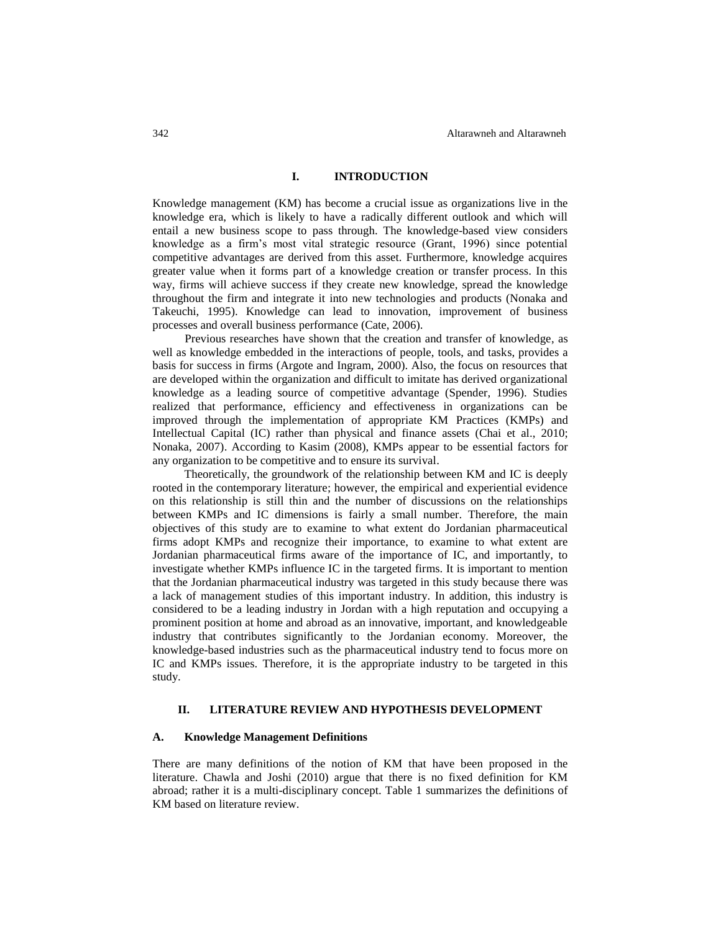#### **I. INTRODUCTION**

Knowledge management (KM) has become a crucial issue as organizations live in the knowledge era, which is likely to have a radically different outlook and which will entail a new business scope to pass through. The knowledge-based view considers knowledge as a firm's most vital strategic resource (Grant, 1996) since potential competitive advantages are derived from this asset. Furthermore, knowledge acquires greater value when it forms part of a knowledge creation or transfer process. In this way, firms will achieve success if they create new knowledge, spread the knowledge throughout the firm and integrate it into new technologies and products (Nonaka and Takeuchi, 1995). Knowledge can lead to innovation, improvement of business processes and overall business performance (Cate, 2006).

Previous researches have shown that the creation and transfer of knowledge, as well as knowledge embedded in the interactions of people, tools, and tasks, provides a basis for success in firms (Argote and Ingram, 2000). Also, the focus on resources that are developed within the organization and difficult to imitate has derived organizational knowledge as a leading source of competitive advantage (Spender, 1996). Studies realized that performance, efficiency and effectiveness in organizations can be improved through the implementation of appropriate KM Practices (KMPs) and Intellectual Capital (IC) rather than physical and finance assets (Chai et al., 2010; Nonaka, 2007). According to Kasim (2008), KMPs appear to be essential factors for any organization to be competitive and to ensure its survival.

Theoretically, the groundwork of the relationship between KM and IC is deeply rooted in the contemporary literature; however, the empirical and experiential evidence on this relationship is still thin and the number of discussions on the relationships between KMPs and IC dimensions is fairly a small number. Therefore, the main objectives of this study are to examine to what extent do Jordanian pharmaceutical firms adopt KMPs and recognize their importance, to examine to what extent are Jordanian pharmaceutical firms aware of the importance of IC, and importantly, to investigate whether KMPs influence IC in the targeted firms. It is important to mention that the Jordanian pharmaceutical industry was targeted in this study because there was a lack of management studies of this important industry. In addition, this industry is considered to be a leading industry in Jordan with a high reputation and occupying a prominent position at home and abroad as an innovative, important, and knowledgeable industry that contributes significantly to the Jordanian economy. Moreover, the knowledge-based industries such as the pharmaceutical industry tend to focus more on IC and KMPs issues. Therefore, it is the appropriate industry to be targeted in this study.

#### **II. LITERATURE REVIEW AND HYPOTHESIS DEVELOPMENT**

#### **A. Knowledge Management Definitions**

There are many definitions of the notion of KM that have been proposed in the literature. Chawla and Joshi (2010) argue that there is no fixed definition for KM abroad; rather it is a multi-disciplinary concept. Table 1 summarizes the definitions of KM based on literature review.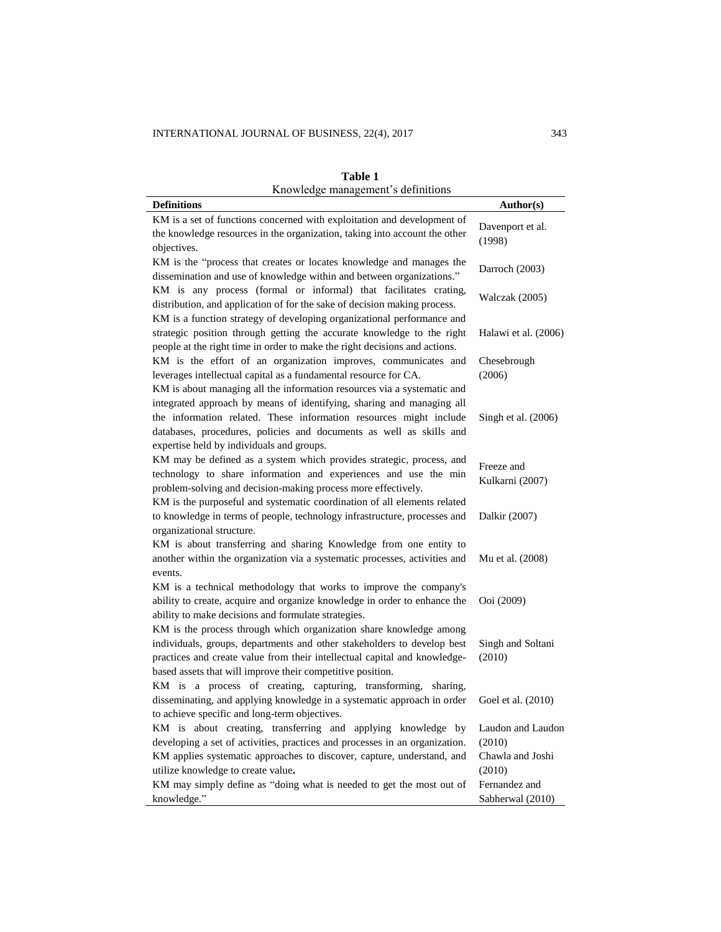| Knowledge management's definitions                                                                                                                                                                                                                                                                                                         |                               |
|--------------------------------------------------------------------------------------------------------------------------------------------------------------------------------------------------------------------------------------------------------------------------------------------------------------------------------------------|-------------------------------|
| <b>Definitions</b>                                                                                                                                                                                                                                                                                                                         | Author(s)                     |
| KM is a set of functions concerned with exploitation and development of                                                                                                                                                                                                                                                                    |                               |
| the knowledge resources in the organization, taking into account the other                                                                                                                                                                                                                                                                 | Davenport et al.              |
| objectives.                                                                                                                                                                                                                                                                                                                                | (1998)                        |
| KM is the "process that creates or locates knowledge and manages the<br>dissemination and use of knowledge within and between organizations."                                                                                                                                                                                              | Darroch (2003)                |
| KM is any process (formal or informal) that facilitates crating,<br>distribution, and application of for the sake of decision making process.                                                                                                                                                                                              | Walczak (2005)                |
| KM is a function strategy of developing organizational performance and<br>strategic position through getting the accurate knowledge to the right<br>people at the right time in order to make the right decisions and actions.                                                                                                             | Halawi et al. (2006)          |
| KM is the effort of an organization improves, communicates and<br>leverages intellectual capital as a fundamental resource for CA.                                                                                                                                                                                                         | Chesebrough<br>(2006)         |
| KM is about managing all the information resources via a systematic and<br>integrated approach by means of identifying, sharing and managing all<br>the information related. These information resources might include<br>databases, procedures, policies and documents as well as skills and<br>expertise held by individuals and groups. | Singh et al. (2006)           |
| KM may be defined as a system which provides strategic, process, and<br>technology to share information and experiences and use the min<br>problem-solving and decision-making process more effectively.<br>KM is the purposeful and systematic coordination of all elements related                                                       | Freeze and<br>Kulkarni (2007) |
| to knowledge in terms of people, technology infrastructure, processes and<br>organizational structure.                                                                                                                                                                                                                                     | Dalkir (2007)                 |
| KM is about transferring and sharing Knowledge from one entity to<br>another within the organization via a systematic processes, activities and<br>events.                                                                                                                                                                                 | Mu et al. (2008)              |
| KM is a technical methodology that works to improve the company's<br>ability to create, acquire and organize knowledge in order to enhance the<br>ability to make decisions and formulate strategies.                                                                                                                                      | Ooi (2009)                    |
| KM is the process through which organization share knowledge among<br>individuals, groups, departments and other stakeholders to develop best<br>practices and create value from their intellectual capital and knowledge-<br>based assets that will improve their competitive position.                                                   | Singh and Soltani<br>(2010)   |
| KM is a process of creating, capturing, transforming,<br>sharing,<br>disseminating, and applying knowledge in a systematic approach in order<br>to achieve specific and long-term objectives.                                                                                                                                              | Goel et al. (2010)            |
| KM is about creating, transferring and applying knowledge by                                                                                                                                                                                                                                                                               | Laudon and Laudon             |
| developing a set of activities, practices and processes in an organization.                                                                                                                                                                                                                                                                | (2010)                        |
| KM applies systematic approaches to discover, capture, understand, and                                                                                                                                                                                                                                                                     | Chawla and Joshi              |
| utilize knowledge to create value.                                                                                                                                                                                                                                                                                                         | (2010)                        |
| KM may simply define as "doing what is needed to get the most out of                                                                                                                                                                                                                                                                       | Fernandez and                 |
| knowledge."                                                                                                                                                                                                                                                                                                                                | Sabherwal (2010)              |

**Table 1**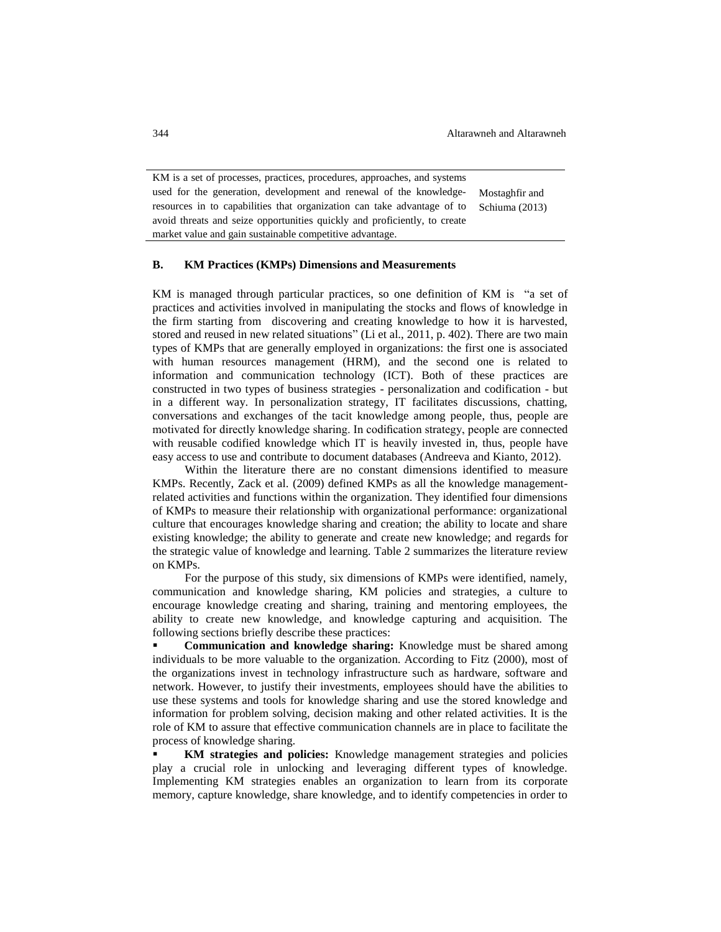344 Altarawneh and Altarawneh

KM is a set of processes, practices, procedures, approaches, and systems used for the generation, development and renewal of the knowledgeresources in to capabilities that organization can take advantage of to avoid threats and seize opportunities quickly and proficiently, to create market value and gain sustainable competitive advantage. Mostaghfir and Schiuma (2013)

# **B. KM Practices (KMPs) Dimensions and Measurements**

KM is managed through particular practices, so one definition of KM is "a set of practices and activities involved in manipulating the stocks and flows of knowledge in the firm starting from discovering and creating knowledge to how it is harvested, stored and reused in new related situations" (Li et al., 2011, p. 402). There are two main types of KMPs that are generally employed in organizations: the first one is associated with human resources management (HRM), and the second one is related to information and communication technology (ICT). Both of these practices are constructed in two types of business strategies - personalization and codification - but in a different way. In personalization strategy, IT facilitates discussions, chatting, conversations and exchanges of the tacit knowledge among people, thus, people are motivated for directly knowledge sharing. In codification strategy, people are connected with reusable codified knowledge which IT is heavily invested in, thus, people have easy access to use and contribute to document databases (Andreeva and Kianto, 2012).

Within the literature there are no constant dimensions identified to measure KMPs. Recently, Zack et al. (2009) defined KMPs as all the knowledge managementrelated activities and functions within the organization. They identified four dimensions of KMPs to measure their relationship with organizational performance: organizational culture that encourages knowledge sharing and creation; the ability to locate and share existing knowledge; the ability to generate and create new knowledge; and regards for the strategic value of knowledge and learning. Table 2 summarizes the literature review on KMPs.

For the purpose of this study, six dimensions of KMPs were identified, namely, communication and knowledge sharing, KM policies and strategies, a culture to encourage knowledge creating and sharing, training and mentoring employees, the ability to create new knowledge, and knowledge capturing and acquisition. The following sections briefly describe these practices:

 **Communication and knowledge sharing:** Knowledge must be shared among individuals to be more valuable to the organization. According to Fitz (2000), most of the organizations invest in technology infrastructure such as hardware, software and network. However, to justify their investments, employees should have the abilities to use these systems and tools for knowledge sharing and use the stored knowledge and information for problem solving, decision making and other related activities. It is the role of KM to assure that effective communication channels are in place to facilitate the process of knowledge sharing.

 **KM strategies and policies:** Knowledge management strategies and policies play a crucial role in unlocking and leveraging different types of knowledge. Implementing KM strategies enables an organization to learn from its corporate memory, capture knowledge, share knowledge, and to identify competencies in order to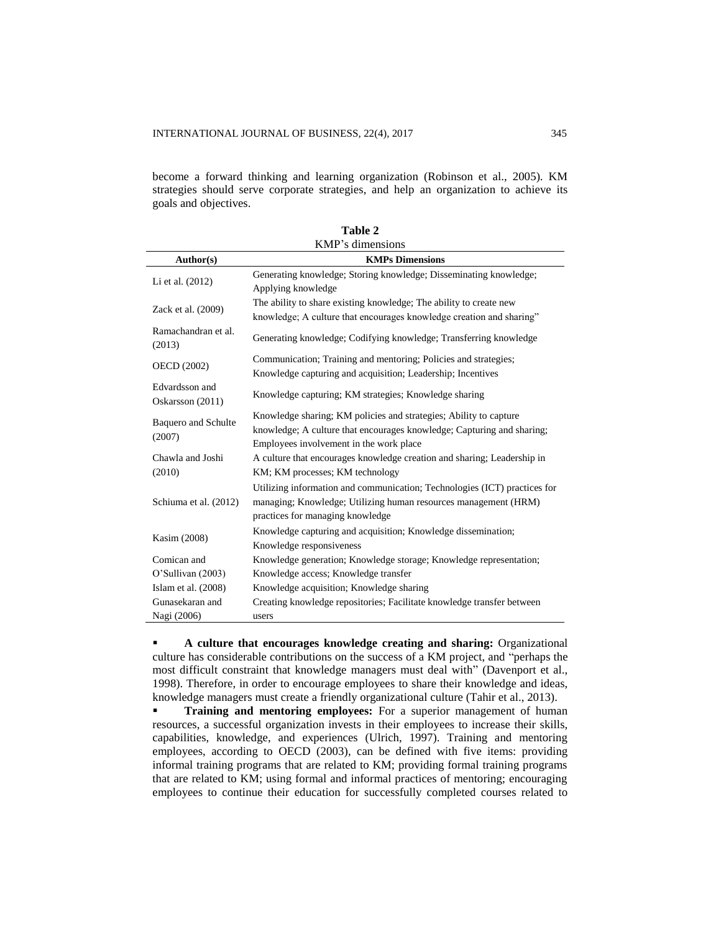become a forward thinking and learning organization (Robinson et al., 2005). KM strategies should serve corporate strategies, and help an organization to achieve its goals and objectives.

| KMP's dimensions                     |                                                                                                                                                                                  |  |  |  |  |  |
|--------------------------------------|----------------------------------------------------------------------------------------------------------------------------------------------------------------------------------|--|--|--|--|--|
| Author(s)                            | <b>KMPs Dimensions</b>                                                                                                                                                           |  |  |  |  |  |
|                                      | Generating knowledge; Storing knowledge; Disseminating knowledge;                                                                                                                |  |  |  |  |  |
| Li et al. (2012)                     | Applying knowledge                                                                                                                                                               |  |  |  |  |  |
| Zack et al. (2009)                   | The ability to share existing knowledge; The ability to create new                                                                                                               |  |  |  |  |  |
|                                      | knowledge; A culture that encourages knowledge creation and sharing"                                                                                                             |  |  |  |  |  |
| Ramachandran et al.<br>(2013)        | Generating knowledge; Codifying knowledge; Transferring knowledge                                                                                                                |  |  |  |  |  |
| <b>OECD</b> (2002)                   | Communication; Training and mentoring; Policies and strategies;                                                                                                                  |  |  |  |  |  |
|                                      | Knowledge capturing and acquisition; Leadership; Incentives                                                                                                                      |  |  |  |  |  |
| Edvardsson and<br>Oskarsson (2011)   | Knowledge capturing; KM strategies; Knowledge sharing                                                                                                                            |  |  |  |  |  |
| <b>Baquero</b> and Schulte<br>(2007) | Knowledge sharing; KM policies and strategies; Ability to capture                                                                                                                |  |  |  |  |  |
|                                      | knowledge; A culture that encourages knowledge; Capturing and sharing;                                                                                                           |  |  |  |  |  |
|                                      | Employees involvement in the work place                                                                                                                                          |  |  |  |  |  |
| Chawla and Joshi                     | A culture that encourages knowledge creation and sharing; Leadership in                                                                                                          |  |  |  |  |  |
| (2010)                               | KM; KM processes; KM technology                                                                                                                                                  |  |  |  |  |  |
| Schiuma et al. (2012)                | Utilizing information and communication; Technologies (ICT) practices for<br>managing; Knowledge; Utilizing human resources management (HRM)<br>practices for managing knowledge |  |  |  |  |  |
|                                      | Knowledge capturing and acquisition; Knowledge dissemination;                                                                                                                    |  |  |  |  |  |
| Kasim (2008)                         | Knowledge responsiveness                                                                                                                                                         |  |  |  |  |  |
| Comican and                          | Knowledge generation; Knowledge storage; Knowledge representation;                                                                                                               |  |  |  |  |  |
| O'Sullivan (2003)                    | Knowledge access; Knowledge transfer                                                                                                                                             |  |  |  |  |  |
| Islam et al. $(2008)$                | Knowledge acquisition; Knowledge sharing                                                                                                                                         |  |  |  |  |  |
| Gunasekaran and                      | Creating knowledge repositories; Facilitate knowledge transfer between                                                                                                           |  |  |  |  |  |
| Nagi (2006)                          | users                                                                                                                                                                            |  |  |  |  |  |

|              | Table 2 |  |
|--------------|---------|--|
| 73.4132 - 41 |         |  |

 **A culture that encourages knowledge creating and sharing:** Organizational culture has considerable contributions on the success of a KM project, and "perhaps the most difficult constraint that knowledge managers must deal with" (Davenport et al., 1998). Therefore, in order to encourage employees to share their knowledge and ideas, knowledge managers must create a friendly organizational culture (Tahir et al., 2013).

 **Training and mentoring employees:** For a superior management of human resources, a successful organization invests in their employees to increase their skills, capabilities, knowledge, and experiences (Ulrich, 1997). Training and mentoring employees, according to OECD (2003), can be defined with five items: providing informal training programs that are related to KM; providing formal training programs that are related to KM; using formal and informal practices of mentoring; encouraging employees to continue their education for successfully completed courses related to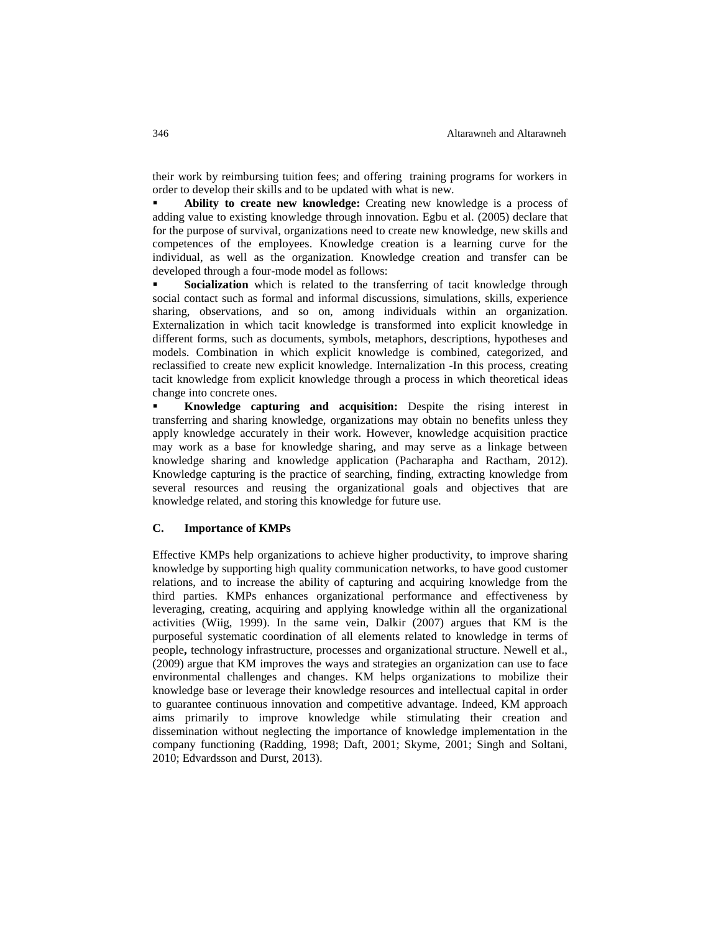their work by reimbursing tuition fees; and offering training programs for workers in order to develop their skills and to be updated with what is new.

 **Ability to create new knowledge:** Creating new knowledge is a process of adding value to existing knowledge through innovation. Egbu et al. (2005) declare that for the purpose of survival, organizations need to create new knowledge, new skills and competences of the employees. Knowledge creation is a learning curve for the individual, as well as the organization. Knowledge creation and transfer can be developed through a four-mode model as follows:

 **Socialization** which is related to the transferring of tacit knowledge through social contact such as formal and informal discussions, simulations, skills, experience sharing, observations, and so on, among individuals within an organization. Externalization in which tacit knowledge is transformed into explicit knowledge in different forms, such as documents, symbols, metaphors, descriptions, hypotheses and models. Combination in which explicit knowledge is combined, categorized, and reclassified to create new explicit knowledge. Internalization -In this process, creating tacit knowledge from explicit knowledge through a process in which theoretical ideas change into concrete ones.

 **Knowledge capturing and acquisition:** Despite the rising interest in transferring and sharing knowledge, organizations may obtain no benefits unless they apply knowledge accurately in their work. However, knowledge acquisition practice may work as a base for knowledge sharing, and may serve as a linkage between knowledge sharing and knowledge application (Pacharapha and Ractham, 2012). Knowledge capturing is the practice of searching, finding, extracting knowledge from several resources and reusing the organizational goals and objectives that are knowledge related, and storing this knowledge for future use.

## **C. Importance of KMPs**

Effective KMPs help organizations to achieve higher productivity, to improve sharing knowledge by supporting high quality communication networks, to have good customer relations, and to increase the ability of capturing and acquiring knowledge from the third parties. KMPs enhances organizational performance and effectiveness by leveraging, creating, acquiring and applying knowledge within all the organizational activities (Wiig, 1999). In the same vein, Dalkir (2007) argues that KM is the purposeful systematic coordination of all elements related to knowledge in terms of people**,** technology infrastructure, processes and organizational structure. Newell et al., (2009) argue that KM improves the ways and strategies an organization can use to face environmental challenges and changes. KM helps organizations to mobilize their knowledge base or leverage their knowledge resources and intellectual capital in order to guarantee continuous innovation and competitive advantage. Indeed, KM approach aims primarily to improve knowledge while stimulating their creation and dissemination without neglecting the importance of knowledge implementation in the company functioning (Radding, 1998; Daft, 2001; Skyme, 2001; Singh and Soltani, 2010; Edvardsson and Durst, 2013).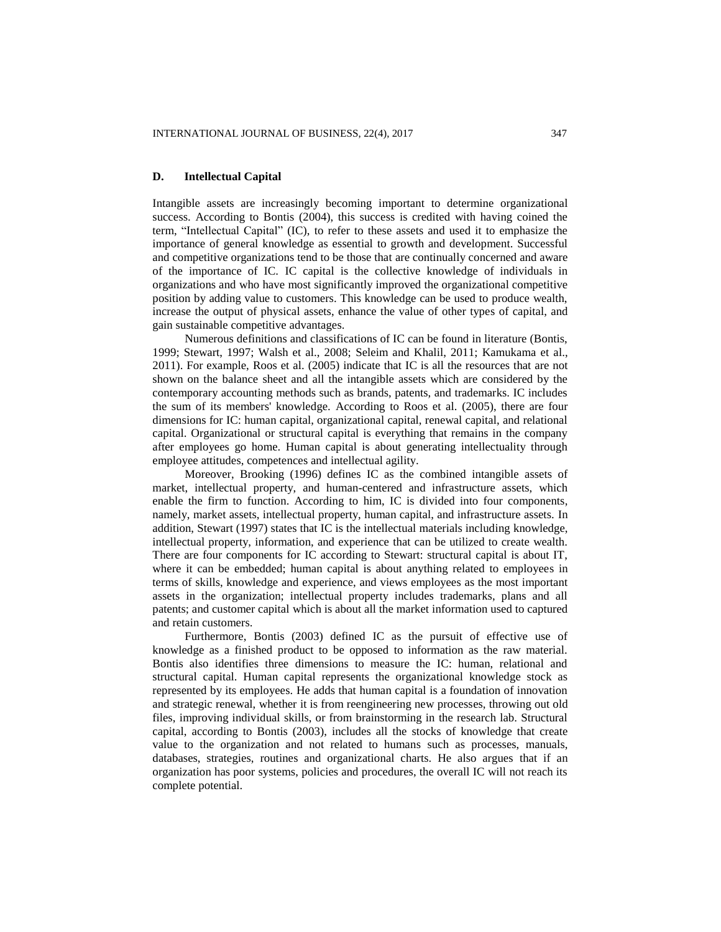# **D. Intellectual Capital**

Intangible assets are increasingly becoming important to determine organizational success. According to Bontis (2004), this success is credited with having coined the term, "Intellectual Capital" (IC), to refer to these assets and used it to emphasize the importance of general knowledge as essential to growth and development. Successful and competitive organizations tend to be those that are continually concerned and aware of the importance of IC. IC capital is the collective knowledge of individuals in organizations and who have most significantly improved the organizational competitive position by adding value to customers. This knowledge can be used to produce wealth, increase the output of physical assets, enhance the value of other types of capital, and gain sustainable competitive advantages.

Numerous definitions and classifications of IC can be found in literature (Bontis, 1999; Stewart, 1997; Walsh et al., 2008; Seleim and Khalil, 2011; Kamukama et al., 2011). For example, Roos et al. (2005) indicate that IC is all the resources that are not shown on the balance sheet and all the intangible assets which are considered by the contemporary accounting methods such as brands, patents, and trademarks. IC includes the sum of its members' knowledge. According to Roos et al. (2005), there are four dimensions for IC: human capital, organizational capital, renewal capital, and relational capital. Organizational or structural capital is everything that remains in the company after employees go home. Human capital is about generating intellectuality through employee attitudes, competences and intellectual agility.

Moreover, Brooking (1996) defines IC as the combined intangible assets of market, intellectual property, and human-centered and infrastructure assets, which enable the firm to function. According to him, IC is divided into four components, namely, market assets, intellectual property, human capital, and infrastructure assets. In addition, Stewart (1997) states that IC is the intellectual materials including knowledge, intellectual property, information, and experience that can be utilized to create wealth. There are four components for IC according to Stewart: structural capital is about IT, where it can be embedded; human capital is about anything related to employees in terms of skills, knowledge and experience, and views employees as the most important assets in the organization; intellectual property includes trademarks, plans and all patents; and customer capital which is about all the market information used to captured and retain customers.

Furthermore, Bontis (2003) defined IC as the pursuit of effective use of knowledge as a finished product to be opposed to information as the raw material. Bontis also identifies three dimensions to measure the IC: human, relational and structural capital. Human capital represents the organizational knowledge stock as represented by its employees. He adds that human capital is a foundation of innovation and strategic renewal, whether it is from reengineering new processes, throwing out old files, improving individual skills, or from brainstorming in the research lab. Structural capital, according to Bontis (2003), includes all the stocks of knowledge that create value to the organization and not related to humans such as processes, manuals, databases, strategies, routines and organizational charts. He also argues that if an organization has poor systems, policies and procedures, the overall IC will not reach its complete potential.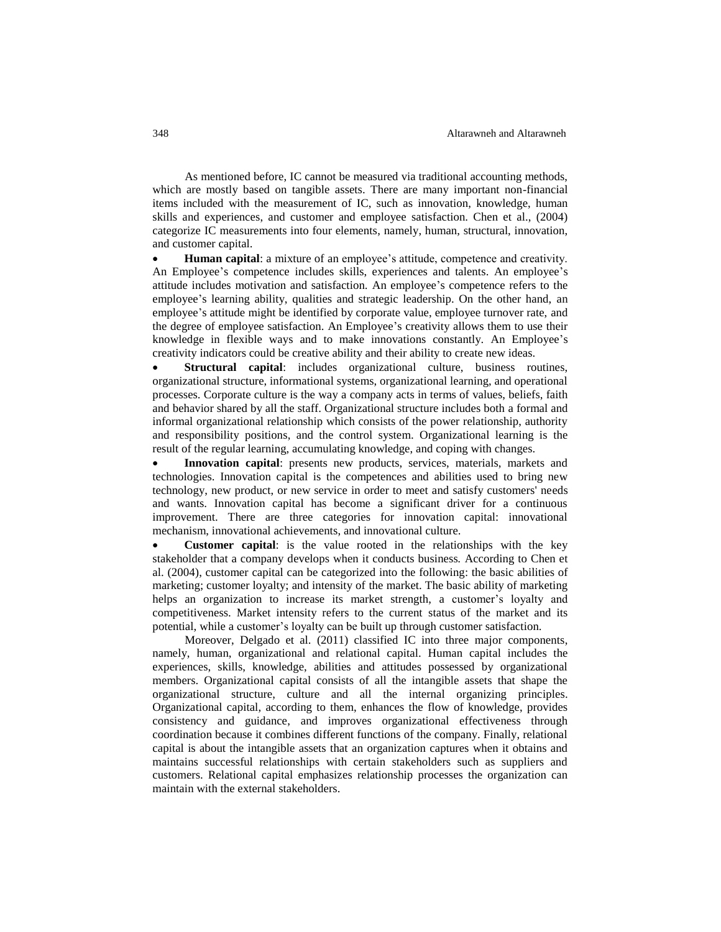As mentioned before, IC cannot be measured via traditional accounting methods, which are mostly based on tangible assets. There are many important non-financial items included with the measurement of IC, such as innovation, knowledge, human skills and experiences, and customer and employee satisfaction. Chen et al., (2004) categorize IC measurements into four elements, namely, human, structural, innovation, and customer capital.

 **Human capital**: a mixture of an employee's attitude, competence and creativity. An Employee's competence includes skills, experiences and talents. An employee's attitude includes motivation and satisfaction. An employee's competence refers to the employee's learning ability, qualities and strategic leadership. On the other hand, an employee's attitude might be identified by corporate value, employee turnover rate, and the degree of employee satisfaction. An Employee's creativity allows them to use their knowledge in flexible ways and to make innovations constantly. An Employee's creativity indicators could be creative ability and their ability to create new ideas.

 **Structural capital**: includes organizational culture, business routines, organizational structure, informational systems, organizational learning, and operational processes. Corporate culture is the way a company acts in terms of values, beliefs, faith and behavior shared by all the staff. Organizational structure includes both a formal and informal organizational relationship which consists of the power relationship, authority and responsibility positions, and the control system. Organizational learning is the result of the regular learning, accumulating knowledge, and coping with changes.

 **Innovation capital**: presents new products, services, materials, markets and technologies. Innovation capital is the competences and abilities used to bring new technology, new product, or new service in order to meet and satisfy customers' needs and wants. Innovation capital has become a significant driver for a continuous improvement. There are three categories for innovation capital: innovational mechanism, innovational achievements, and innovational culture.

 **Customer capital**: is the value rooted in the relationships with the key stakeholder that a company develops when it conducts business*.* According to Chen et al. (2004), customer capital can be categorized into the following: the basic abilities of marketing; customer loyalty; and intensity of the market. The basic ability of marketing helps an organization to increase its market strength, a customer's loyalty and competitiveness. Market intensity refers to the current status of the market and its potential, while a customer's loyalty can be built up through customer satisfaction.

Moreover, Delgado et al. (2011) classified IC into three major components, namely, human, organizational and relational capital. Human capital includes the experiences, skills, knowledge, abilities and attitudes possessed by organizational members. Organizational capital consists of all the intangible assets that shape the organizational structure, culture and all the internal organizing principles. Organizational capital, according to them, enhances the flow of knowledge, provides consistency and guidance, and improves organizational effectiveness through coordination because it combines different functions of the company. Finally, relational capital is about the intangible assets that an organization captures when it obtains and maintains successful relationships with certain stakeholders such as suppliers and customers. Relational capital emphasizes relationship processes the organization can maintain with the external stakeholders.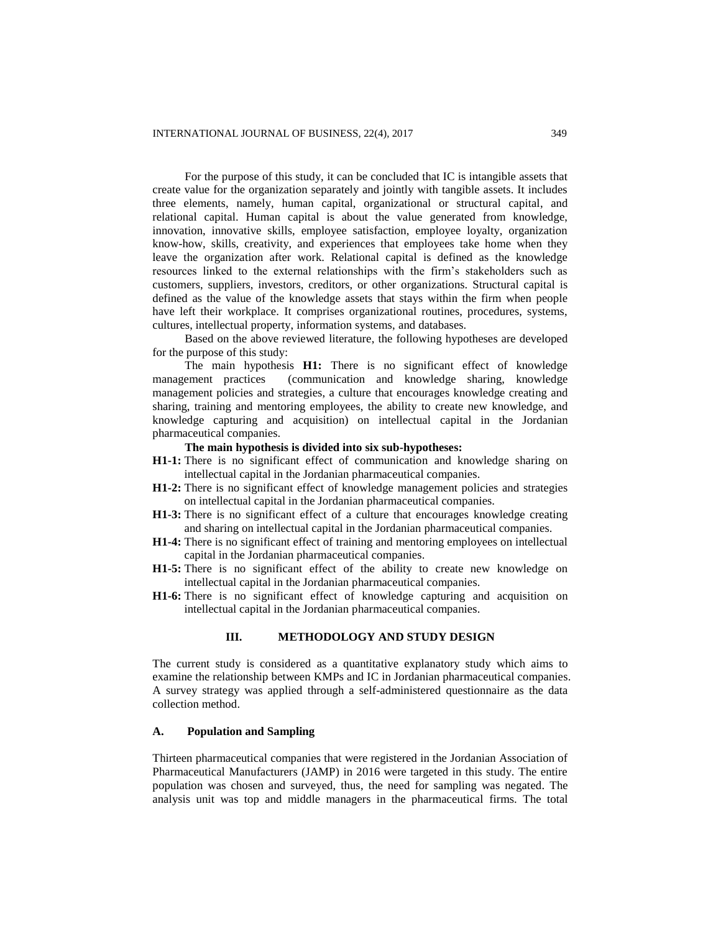For the purpose of this study, it can be concluded that IC is intangible assets that create value for the organization separately and jointly with tangible assets. It includes three elements, namely, human capital, organizational or structural capital, and relational capital. Human capital is about the value generated from knowledge, innovation, innovative skills, employee satisfaction, employee loyalty, organization know-how, skills, creativity, and experiences that employees take home when they leave the organization after work. Relational capital is defined as the knowledge resources linked to the external relationships with the firm's stakeholders such as customers, suppliers, investors, creditors, or other organizations. Structural capital is defined as the value of the knowledge assets that stays within the firm when people have left their workplace. It comprises organizational routines, procedures, systems, cultures, intellectual property, information systems, and databases.

Based on the above reviewed literature, the following hypotheses are developed for the purpose of this study:

The main hypothesis **H1:** There is no significant effect of knowledge management practices (communication and knowledge sharing, knowledge management policies and strategies, a culture that encourages knowledge creating and sharing, training and mentoring employees, the ability to create new knowledge, and knowledge capturing and acquisition) on intellectual capital in the Jordanian pharmaceutical companies.

# **The main hypothesis is divided into six sub-hypotheses:**

- **H1-1:** There is no significant effect of communication and knowledge sharing on intellectual capital in the Jordanian pharmaceutical companies.
- **H1-2:** There is no significant effect of knowledge management policies and strategies on intellectual capital in the Jordanian pharmaceutical companies.
- **H1-3:** There is no significant effect of a culture that encourages knowledge creating and sharing on intellectual capital in the Jordanian pharmaceutical companies.
- **H1-4:** There is no significant effect of training and mentoring employees on intellectual capital in the Jordanian pharmaceutical companies.
- **H1-5:** There is no significant effect of the ability to create new knowledge on intellectual capital in the Jordanian pharmaceutical companies.
- **H1-6:** There is no significant effect of knowledge capturing and acquisition on intellectual capital in the Jordanian pharmaceutical companies.

# **III. METHODOLOGY AND STUDY DESIGN**

The current study is considered as a quantitative explanatory study which aims to examine the relationship between KMPs and IC in Jordanian pharmaceutical companies. A survey strategy was applied through a self-administered questionnaire as the data collection method.

# **A. Population and Sampling**

Thirteen pharmaceutical companies that were registered in the Jordanian Association of Pharmaceutical Manufacturers (JAMP) in 2016 were targeted in this study. The entire population was chosen and surveyed, thus, the need for sampling was negated. The analysis unit was top and middle managers in the pharmaceutical firms. The total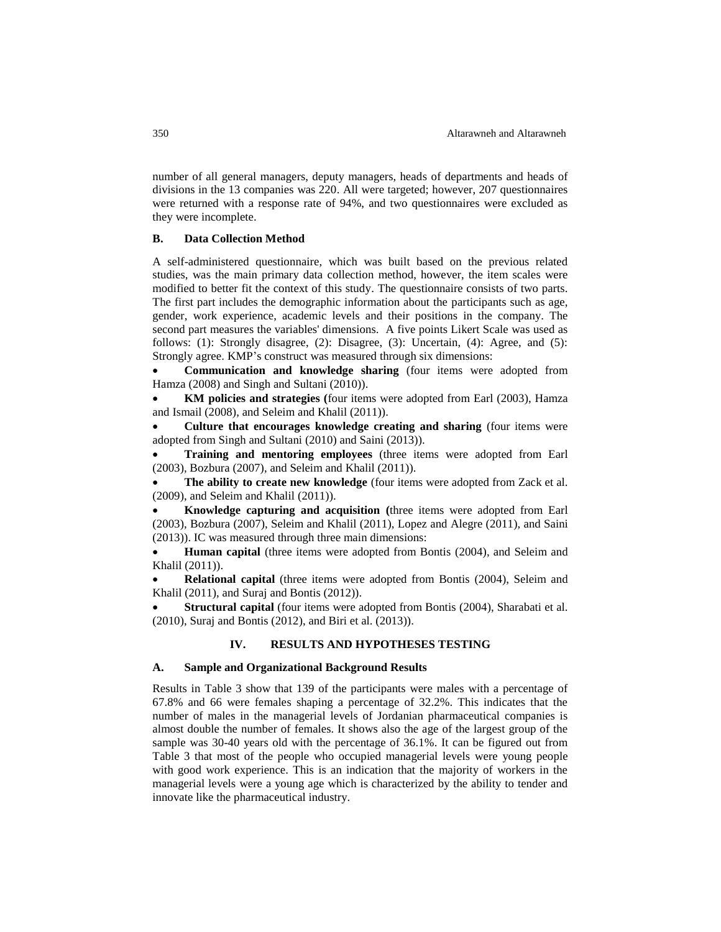number of all general managers, deputy managers, heads of departments and heads of divisions in the 13 companies was 220. All were targeted; however, 207 questionnaires were returned with a response rate of 94%, and two questionnaires were excluded as they were incomplete.

# **B. Data Collection Method**

A self-administered questionnaire, which was built based on the previous related studies, was the main primary data collection method, however, the item scales were modified to better fit the context of this study. The questionnaire consists of two parts. The first part includes the demographic information about the participants such as age, gender, work experience, academic levels and their positions in the company. The second part measures the variables' dimensions. A five points Likert Scale was used as follows: (1): Strongly disagree, (2): Disagree, (3): Uncertain, (4): Agree, and (5): Strongly agree. KMP's construct was measured through six dimensions:

 **Communication and knowledge sharing** (four items were adopted from Hamza (2008) and Singh and Sultani (2010)).

 **KM policies and strategies (**four items were adopted from Earl (2003), Hamza and Ismail (2008), and Seleim and Khalil (2011)).

 **Culture that encourages knowledge creating and sharing** (four items were adopted from Singh and Sultani (2010) and Saini (2013)).

 **Training and mentoring employees** (three items were adopted from Earl (2003), Bozbura (2007), and Seleim and Khalil (2011)).

 **The ability to create new knowledge** (four items were adopted from Zack et al. (2009), and Seleim and Khalil (2011)).

 **Knowledge capturing and acquisition (**three items were adopted from Earl (2003), Bozbura (2007), Seleim and Khalil (2011), Lopez and Alegre (2011), and Saini (2013)). IC was measured through three main dimensions:

 **Human capital** (three items were adopted from Bontis (2004), and Seleim and Khalil (2011)).

 **Relational capital** (three items were adopted from Bontis (2004), Seleim and Khalil (2011), and Suraj and Bontis (2012)).

 **Structural capital** (four items were adopted from Bontis (2004), Sharabati et al. (2010), Suraj and Bontis (2012), and Biri et al. (2013)).

# **IV. RESULTS AND HYPOTHESES TESTING**

# **A. Sample and Organizational Background Results**

Results in Table 3 show that 139 of the participants were males with a percentage of 67.8% and 66 were females shaping a percentage of 32.2%. This indicates that the number of males in the managerial levels of Jordanian pharmaceutical companies is almost double the number of females. It shows also the age of the largest group of the sample was 30-40 years old with the percentage of 36.1%. It can be figured out from Table 3 that most of the people who occupied managerial levels were young people with good work experience. This is an indication that the majority of workers in the managerial levels were a young age which is characterized by the ability to tender and innovate like the pharmaceutical industry.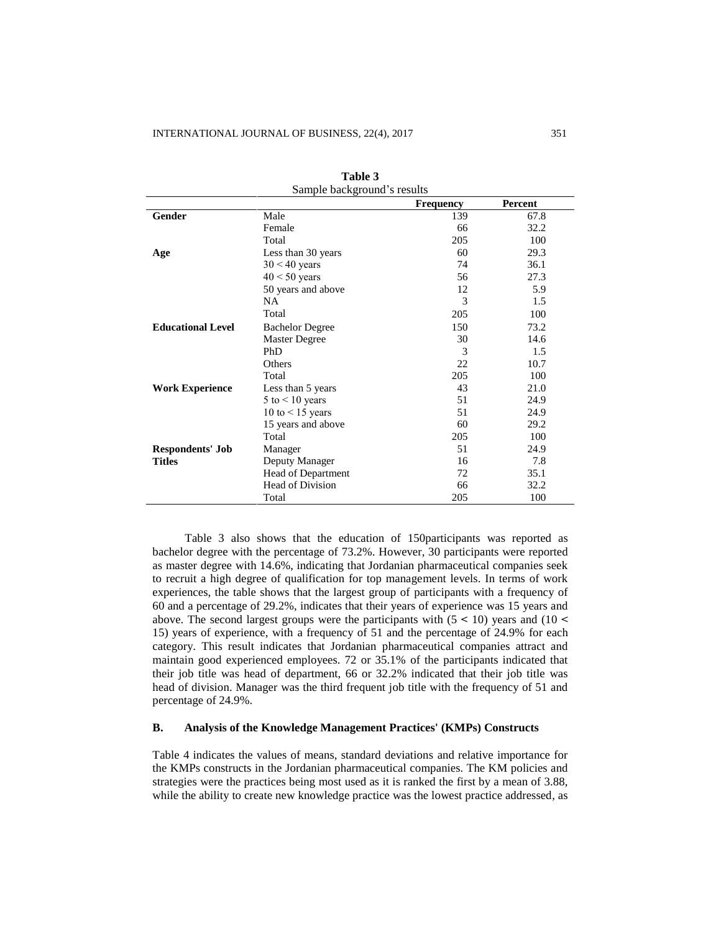| Sample background's results |                         |                                                 |         |  |  |  |  |  |  |
|-----------------------------|-------------------------|-------------------------------------------------|---------|--|--|--|--|--|--|
|                             |                         | <b>Frequency</b>                                | Percent |  |  |  |  |  |  |
| Gender                      | Male                    | 139                                             | 67.8    |  |  |  |  |  |  |
|                             | Female                  | 66                                              | 32.2    |  |  |  |  |  |  |
|                             | Total                   | 205                                             | 100     |  |  |  |  |  |  |
| Age                         | Less than 30 years      | 60                                              | 29.3    |  |  |  |  |  |  |
|                             | $30 < 40$ years         | 74                                              | 36.1    |  |  |  |  |  |  |
|                             | $40 < 50$ years         | 56                                              | 27.3    |  |  |  |  |  |  |
|                             | 50 years and above      | 12                                              | 5.9     |  |  |  |  |  |  |
|                             | <b>NA</b>               | 3                                               | 1.5     |  |  |  |  |  |  |
|                             | Total                   | 205                                             | 100     |  |  |  |  |  |  |
| <b>Educational Level</b>    | <b>Bachelor Degree</b>  | 150                                             | 73.2    |  |  |  |  |  |  |
|                             | Master Degree           | 14.6<br>30<br>3<br>1.5<br>22<br>205<br>43<br>51 |         |  |  |  |  |  |  |
|                             | PhD                     |                                                 |         |  |  |  |  |  |  |
|                             | Others                  |                                                 | 10.7    |  |  |  |  |  |  |
|                             | Total                   |                                                 | 100     |  |  |  |  |  |  |
| <b>Work Experience</b>      | Less than 5 years       |                                                 | 21.0    |  |  |  |  |  |  |
|                             | 5 to $< 10$ years       |                                                 | 24.9    |  |  |  |  |  |  |
|                             | 10 to $<$ 15 years      | 51                                              | 24.9    |  |  |  |  |  |  |
|                             | 15 years and above      | 60                                              | 29.2    |  |  |  |  |  |  |
|                             | Total                   | 205                                             | 100     |  |  |  |  |  |  |
| <b>Respondents' Job</b>     | Manager                 | 51                                              | 24.9    |  |  |  |  |  |  |
| <b>Titles</b>               | Deputy Manager          | 16                                              | 7.8     |  |  |  |  |  |  |
|                             | Head of Department      | 72                                              | 35.1    |  |  |  |  |  |  |
|                             | <b>Head of Division</b> | 66                                              | 32.2    |  |  |  |  |  |  |
|                             | Total                   | 205                                             | 100     |  |  |  |  |  |  |

**Table 3**

Table 3 also shows that the education of 150participants was reported as bachelor degree with the percentage of 73.2%. However, 30 participants were reported as master degree with 14.6%, indicating that Jordanian pharmaceutical companies seek to recruit a high degree of qualification for top management levels. In terms of work experiences, the table shows that the largest group of participants with a frequency of 60 and a percentage of 29.2%, indicates that their years of experience was 15 years and above. The second largest groups were the participants with  $(5 < 10)$  years and  $(10 <$ 15) years of experience, with a frequency of 51 and the percentage of 24.9% for each category. This result indicates that Jordanian pharmaceutical companies attract and maintain good experienced employees. 72 or 35.1% of the participants indicated that their job title was head of department, 66 or 32.2% indicated that their job title was head of division. Manager was the third frequent job title with the frequency of 51 and percentage of 24.9%.

### **B. Analysis of the Knowledge Management Practices' (KMPs) Constructs**

Table 4 indicates the values of means, standard deviations and relative importance for the KMPs constructs in the Jordanian pharmaceutical companies. The KM policies and strategies were the practices being most used as it is ranked the first by a mean of 3.88, while the ability to create new knowledge practice was the lowest practice addressed, as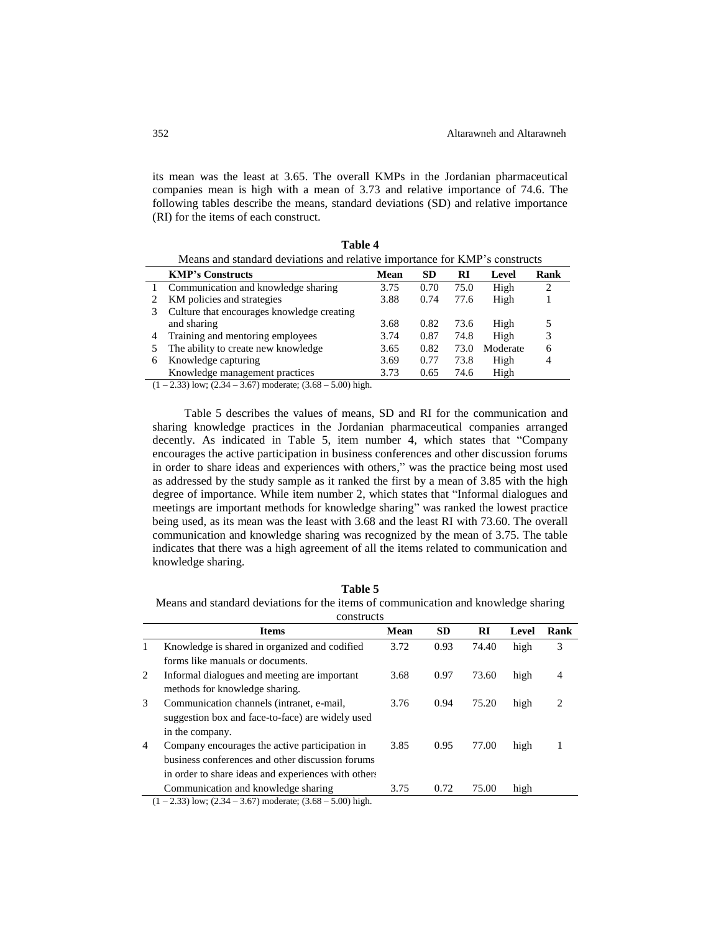its mean was the least at 3.65. The overall KMPs in the Jordanian pharmaceutical companies mean is high with a mean of 3.73 and relative importance of 74.6. The following tables describe the means, standard deviations (SD) and relative importance (RI) for the items of each construct.

**Table 4**

|        | Means and standard deviations and relative importance for KMP's constructs |      |      |      |          |   |  |  |  |  |
|--------|----------------------------------------------------------------------------|------|------|------|----------|---|--|--|--|--|
|        | <b>KMP's Constructs</b><br><b>SD</b><br>Mean<br>Rank<br>RI<br>Level        |      |      |      |          |   |  |  |  |  |
|        | Communication and knowledge sharing                                        | 3.75 | 0.70 | 75.0 | High     | 2 |  |  |  |  |
|        | KM policies and strategies                                                 | 3.88 | 0.74 | 77.6 | High     |   |  |  |  |  |
| 3      | Culture that encourages knowledge creating                                 |      |      |      |          |   |  |  |  |  |
|        | and sharing                                                                | 3.68 | 0.82 | 73.6 | High     |   |  |  |  |  |
| 4      | Training and mentoring employees                                           | 3.74 | 0.87 | 74.8 | High     | 3 |  |  |  |  |
|        | The ability to create new knowledge                                        | 3.65 | 0.82 | 73.0 | Moderate | 6 |  |  |  |  |
| 6      | Knowledge capturing                                                        | 3.69 | 0.77 | 73.8 | High     | 4 |  |  |  |  |
|        | Knowledge management practices                                             | 3.73 | 0.65 | 74.6 | High     |   |  |  |  |  |
| $(1 -$ | $22$ ) low: $(2.24 \pm 2.67)$ moderate: $(2.69$<br>$500$ bigh              |      |      |      |          |   |  |  |  |  |

 $(1 - 2.33)$  low;  $(2.34 - 3.67)$  moderate;  $(3.68 - 5.00)$  high.

Table 5 describes the values of means, SD and RI for the communication and sharing knowledge practices in the Jordanian pharmaceutical companies arranged decently. As indicated in Table 5, item number 4, which states that "Company encourages the active participation in business conferences and other discussion forums in order to share ideas and experiences with others," was the practice being most used as addressed by the study sample as it ranked the first by a mean of 3.85 with the high degree of importance. While item number 2, which states that "Informal dialogues and meetings are important methods for knowledge sharing" was ranked the lowest practice being used, as its mean was the least with 3.68 and the least RI with 73.60. The overall communication and knowledge sharing was recognized by the mean of 3.75. The table indicates that there was a high agreement of all the items related to communication and knowledge sharing.

Means and standard deviations for the items of communication and knowledge sharing constructs

|   | consuucts                                           |      |           |       |       |      |  |
|---|-----------------------------------------------------|------|-----------|-------|-------|------|--|
|   | <b>Items</b>                                        | Mean | <b>SD</b> | RI    | Level | Rank |  |
| 1 | Knowledge is shared in organized and codified       | 3.72 | 0.93      | 74.40 | high  | 3    |  |
|   | forms like manuals or documents.                    |      |           |       |       |      |  |
| 2 | Informal dialogues and meeting are important        | 3.68 | 0.97      | 73.60 | high  | 4    |  |
|   | methods for knowledge sharing.                      |      |           |       |       |      |  |
| 3 | Communication channels (intranet, e-mail,           | 3.76 | 0.94      | 75.20 | high  | 2    |  |
|   | suggestion box and face-to-face) are widely used    |      |           |       |       |      |  |
|   | in the company.                                     |      |           |       |       |      |  |
| 4 | Company encourages the active participation in      | 3.85 | 0.95      | 77.00 | high  |      |  |
|   | business conferences and other discussion forums    |      |           |       |       |      |  |
|   | in order to share ideas and experiences with others |      |           |       |       |      |  |
|   | Communication and knowledge sharing                 | 3.75 | 0.72      | 75.00 | high  |      |  |
|   |                                                     |      |           |       |       |      |  |

 $(1 - 2.33)$  low;  $(2.34 - 3.67)$  moderate;  $(3.68 - 5.00)$  high.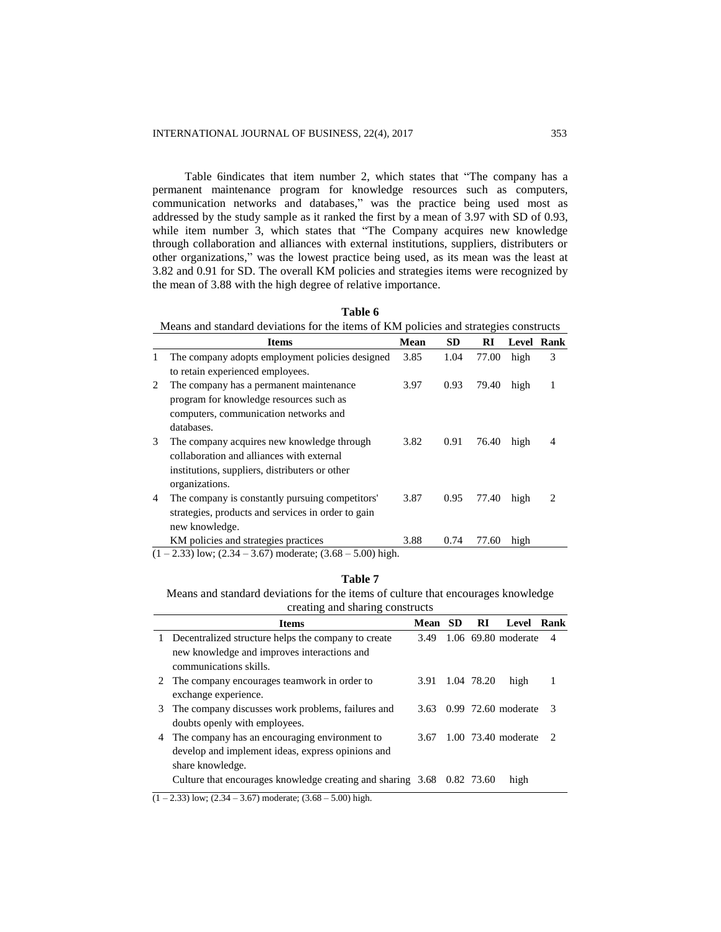Table 6indicates that item number 2, which states that "The company has a permanent maintenance program for knowledge resources such as computers, communication networks and databases," was the practice being used most as addressed by the study sample as it ranked the first by a mean of 3.97 with SD of 0.93, while item number 3, which states that "The Company acquires new knowledge through collaboration and alliances with external institutions, suppliers, distributers or other organizations," was the lowest practice being used, as its mean was the least at 3.82 and 0.91 for SD. The overall KM policies and strategies items were recognized by the mean of 3.88 with the high degree of relative importance.

|   | <b>Items</b>                                       | Mean | <b>SD</b> | RI    | Level Rank |                               |
|---|----------------------------------------------------|------|-----------|-------|------------|-------------------------------|
| 1 | The company adopts employment policies designed    | 3.85 | 1.04      | 77.00 | high       | 3                             |
|   | to retain experienced employees.                   |      |           |       |            |                               |
| 2 | The company has a permanent maintenance            | 3.97 | 0.93      | 79.40 | high       | 1                             |
|   | program for knowledge resources such as            |      |           |       |            |                               |
|   | computers, communication networks and              |      |           |       |            |                               |
|   | databases.                                         |      |           |       |            |                               |
| 3 | The company acquires new knowledge through         | 3.82 | 0.91      | 76.40 | high       | 4                             |
|   | collaboration and alliances with external          |      |           |       |            |                               |
|   | institutions, suppliers, distributers or other     |      |           |       |            |                               |
|   | organizations.                                     |      |           |       |            |                               |
| 4 | The company is constantly pursuing competitors'    | 3.87 | 0.95      | 77.40 | high       | $\mathfrak{D}_{\mathfrak{p}}$ |
|   | strategies, products and services in order to gain |      |           |       |            |                               |
|   | new knowledge.                                     |      |           |       |            |                               |
|   | KM policies and strategies practices               | 3.88 | 0.74      | 77.60 | high       |                               |

**Table 6**

 $(1 – 2.33)$  low;  $(2.34 – 3.67)$  moderate;  $(3.68 – 5.00)$  high.

#### **Table 7**

Means and standard deviations for the items of culture that encourages knowledge creating and sharing constructs

|    | <b>Items</b>                                                           | Mean | - SD | RI         | Level Rank          |               |
|----|------------------------------------------------------------------------|------|------|------------|---------------------|---------------|
| 1. | Decentralized structure helps the company to create                    | 3.49 |      |            | 1.06 69.80 moderate | 4             |
|    | new knowledge and improves interactions and                            |      |      |            |                     |               |
|    | communications skills.                                                 |      |      |            |                     |               |
|    | The company encourages teamwork in order to                            | 3.91 |      | 1.04 78.20 | high                |               |
|    | exchange experience.                                                   |      |      |            |                     |               |
| 3  | The company discusses work problems, failures and                      | 3.63 |      |            | 0.99 72.60 moderate | $\mathcal{R}$ |
|    | doubts openly with employees.                                          |      |      |            |                     |               |
| 4  | The company has an encouraging environment to                          | 3.67 |      |            | 1.00 73.40 moderate | 2             |
|    | develop and implement ideas, express opinions and                      |      |      |            |                     |               |
|    | share knowledge.                                                       |      |      |            |                     |               |
|    | Culture that encourages knowledge creating and sharing 3.68 0.82 73.60 |      |      |            | high                |               |
|    |                                                                        |      |      |            |                     |               |

 $(1 – 2.33)$  low;  $(2.34 – 3.67)$  moderate;  $(3.68 – 5.00)$  high.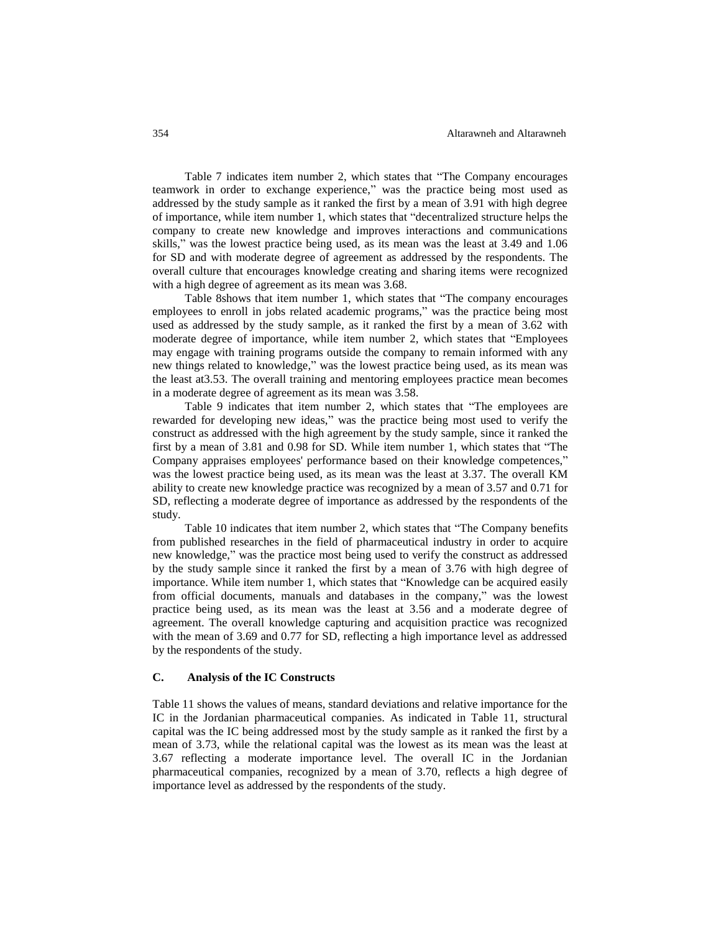Table 7 indicates item number 2, which states that "The Company encourages teamwork in order to exchange experience," was the practice being most used as addressed by the study sample as it ranked the first by a mean of 3.91 with high degree of importance, while item number 1, which states that "decentralized structure helps the company to create new knowledge and improves interactions and communications skills," was the lowest practice being used, as its mean was the least at 3.49 and 1.06 for SD and with moderate degree of agreement as addressed by the respondents. The overall culture that encourages knowledge creating and sharing items were recognized with a high degree of agreement as its mean was 3.68.

Table 8shows that item number 1, which states that "The company encourages employees to enroll in jobs related academic programs," was the practice being most used as addressed by the study sample, as it ranked the first by a mean of 3.62 with moderate degree of importance, while item number 2, which states that "Employees may engage with training programs outside the company to remain informed with any new things related to knowledge," was the lowest practice being used, as its mean was the least at3.53. The overall training and mentoring employees practice mean becomes in a moderate degree of agreement as its mean was 3.58.

Table 9 indicates that item number 2, which states that "The employees are rewarded for developing new ideas," was the practice being most used to verify the construct as addressed with the high agreement by the study sample, since it ranked the first by a mean of 3.81 and 0.98 for SD. While item number 1, which states that "The Company appraises employees' performance based on their knowledge competences," was the lowest practice being used, as its mean was the least at 3.37. The overall KM ability to create new knowledge practice was recognized by a mean of 3.57 and 0.71 for SD, reflecting a moderate degree of importance as addressed by the respondents of the study.

Table 10 indicates that item number 2, which states that "The Company benefits from published researches in the field of pharmaceutical industry in order to acquire new knowledge," was the practice most being used to verify the construct as addressed by the study sample since it ranked the first by a mean of 3.76 with high degree of importance. While item number 1, which states that "Knowledge can be acquired easily from official documents, manuals and databases in the company," was the lowest practice being used, as its mean was the least at 3.56 and a moderate degree of agreement. The overall knowledge capturing and acquisition practice was recognized with the mean of 3.69 and 0.77 for SD, reflecting a high importance level as addressed by the respondents of the study.

# **C. Analysis of the IC Constructs**

Table 11 shows the values of means, standard deviations and relative importance for the IC in the Jordanian pharmaceutical companies. As indicated in Table 11, structural capital was the IC being addressed most by the study sample as it ranked the first by a mean of 3.73, while the relational capital was the lowest as its mean was the least at 3.67 reflecting a moderate importance level. The overall IC in the Jordanian pharmaceutical companies, recognized by a mean of 3.70, reflects a high degree of importance level as addressed by the respondents of the study.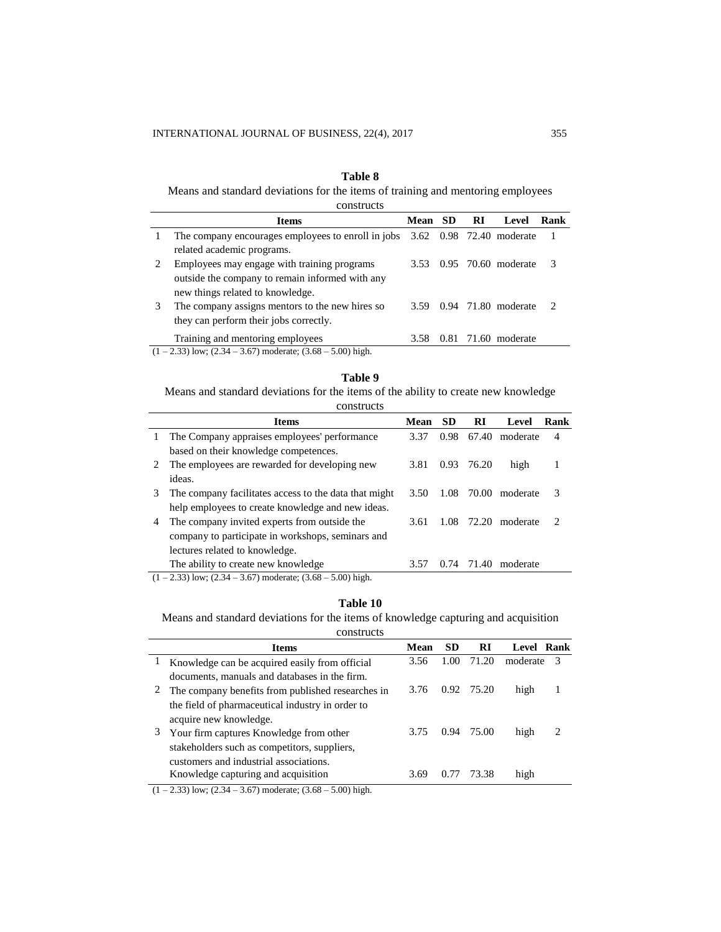# **Table 8**

Means and standard deviations for the items of training and mentoring employees constructs

| <b>COLISTER</b> |                                                                                                                               |         |      |     |                          |      |
|-----------------|-------------------------------------------------------------------------------------------------------------------------------|---------|------|-----|--------------------------|------|
|                 | <b>Items</b>                                                                                                                  | Mean SD |      | -RI | Level                    | Rank |
|                 | The company encourages employees to enroll in jobs<br>related academic programs.                                              |         |      |     | 3.62 0.98 72.40 moderate |      |
| 2               | Employees may engage with training programs<br>outside the company to remain informed with any                                | 3.53    |      |     | 0.95 70.60 moderate      | 3    |
| 3               | new things related to knowledge.<br>The company assigns mentors to the new hires so<br>they can perform their jobs correctly. | 3.59    |      |     | 0.94 71.80 moderate      |      |
|                 | Training and mentoring employees<br>$(1-2.33)$ low; $(2.34-3.67)$ moderate; $(3.68-5.00)$ high.                               | 3.58    | 0.81 |     | 71.60 moderate           |      |
|                 |                                                                                                                               |         |      |     |                          |      |

#### **Table 9**

Means and standard deviations for the items of the ability to create new knowledge

|               | constructs                                            |      |           |       |          |                             |
|---------------|-------------------------------------------------------|------|-----------|-------|----------|-----------------------------|
|               | <b>Items</b>                                          | Mean | <b>SD</b> | RI    | Level    | Rank                        |
| 1             | The Company appraises employees' performance          | 3.37 | 0.98      | 67.40 | moderate | $\overline{4}$              |
|               | based on their knowledge competences.                 |      |           |       |          |                             |
| $\mathcal{L}$ | The employees are rewarded for developing new         | 3.81 | 0.93      | 76.20 | high     |                             |
|               | ideas.                                                |      |           |       |          |                             |
| 3             | The company facilitates access to the data that might | 3.50 | 1.08      | 70.00 | moderate | 3                           |
|               | help employees to create knowledge and new ideas.     |      |           |       |          |                             |
| 4             | The company invited experts from outside the          | 3.61 | 1.08      | 72.20 | moderate | $\mathcal{D}_{\mathcal{L}}$ |
|               | company to participate in workshops, seminars and     |      |           |       |          |                             |
|               | lectures related to knowledge.                        |      |           |       |          |                             |
|               | The ability to create new knowledge                   | 3.57 | 0.74      | 71.40 | moderate |                             |
|               |                                                       |      |           |       |          |                             |

 $(1 - 2.33)$  low;  $(2.34 - 3.67)$  moderate;  $(3.68 - 5.00)$  high.

# **Table 10**

Means and standard deviations for the items of knowledge capturing and acquisition

| constructs |  |
|------------|--|
|            |  |

| moderate |                      |
|----------|----------------------|
|          | -3                   |
|          |                      |
|          |                      |
|          |                      |
|          |                      |
|          | っ                    |
|          |                      |
|          |                      |
|          |                      |
|          | high<br>high<br>high |

 $(1 - 2.33)$  low;  $(2.34 - 3.67)$  moderate;  $(3.68 - 5.00)$  high.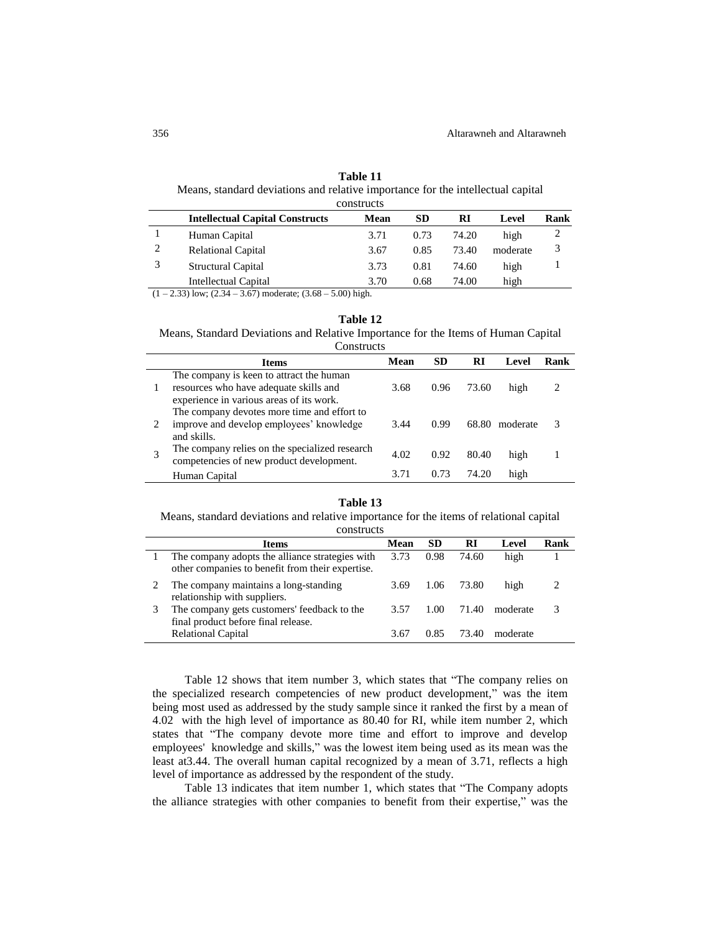|   | constructs                             |      |           |       |          |      |  |  |  |
|---|----------------------------------------|------|-----------|-------|----------|------|--|--|--|
|   | <b>Intellectual Capital Constructs</b> | Mean | <b>SD</b> | RI    | Level    | Rank |  |  |  |
|   | Human Capital                          | 3.71 | 0.73      | 74.20 | high     | 2    |  |  |  |
| 2 | <b>Relational Capital</b>              | 3.67 | 0.85      | 73.40 | moderate | 3    |  |  |  |
| 3 | Structural Capital                     | 3.73 | 0.81      | 74.60 | high     |      |  |  |  |
|   | Intellectual Capital                   | 3.70 | 0.68      | 74.00 | high     |      |  |  |  |

| Table 11                                                                        |  |
|---------------------------------------------------------------------------------|--|
| Means, standard deviations and relative importance for the intellectual capital |  |

 $(1 - 2.33)$  low;  $(2.34 - 3.67)$  moderate;  $(3.68 - 5.00)$  high.

### **Table 12**

Means, Standard Deviations and Relative Importance for the Items of Human Capital **Constructs** 

| <b>Items</b>                                                                                                                   | Mean | SD   | RI     | Level    | Rank |
|--------------------------------------------------------------------------------------------------------------------------------|------|------|--------|----------|------|
| The company is keen to attract the human<br>resources who have adequate skills and<br>experience in various areas of its work. | 3.68 | 0.96 | 73.60  | high     |      |
| The company devotes more time and effort to<br>improve and develop employees' knowledge<br>and skills.                         | 3.44 | 0.99 | 68.80  | moderate | 3    |
| The company relies on the specialized research<br>competencies of new product development.                                     | 4.02 | 0.92 | 80.40  | high     |      |
| Human Capital                                                                                                                  | 3.71 |      | 74 I G | high     |      |

#### **Table 13**

Means, standard deviations and relative importance for the items of relational capital

| constructs                                                                                          |      |      |       |          |  |  |
|-----------------------------------------------------------------------------------------------------|------|------|-------|----------|--|--|
| SD.<br>RI<br>Rank<br>Mean<br><b>Items</b><br>Level                                                  |      |      |       |          |  |  |
| The company adopts the alliance strategies with<br>other companies to benefit from their expertise. | 3.73 | 0.98 | 74.60 | high     |  |  |
| The company maintains a long-standing<br>relationship with suppliers.                               | 3.69 | 1.06 | 73.80 | high     |  |  |
| The company gets customers' feedback to the<br>final product before final release.                  | 3.57 | 1.00 | 71.40 | moderate |  |  |
| <b>Relational Capital</b>                                                                           | 3.67 | 0.85 | 73.40 | moderate |  |  |

Table 12 shows that item number 3, which states that "The company relies on the specialized research competencies of new product development," was the item being most used as addressed by the study sample since it ranked the first by a mean of 4.02 with the high level of importance as 80.40 for RI, while item number 2, which states that "The company devote more time and effort to improve and develop employees' knowledge and skills," was the lowest item being used as its mean was the least at3.44. The overall human capital recognized by a mean of 3.71, reflects a high level of importance as addressed by the respondent of the study.

Table 13 indicates that item number 1, which states that "The Company adopts the alliance strategies with other companies to benefit from their expertise," was the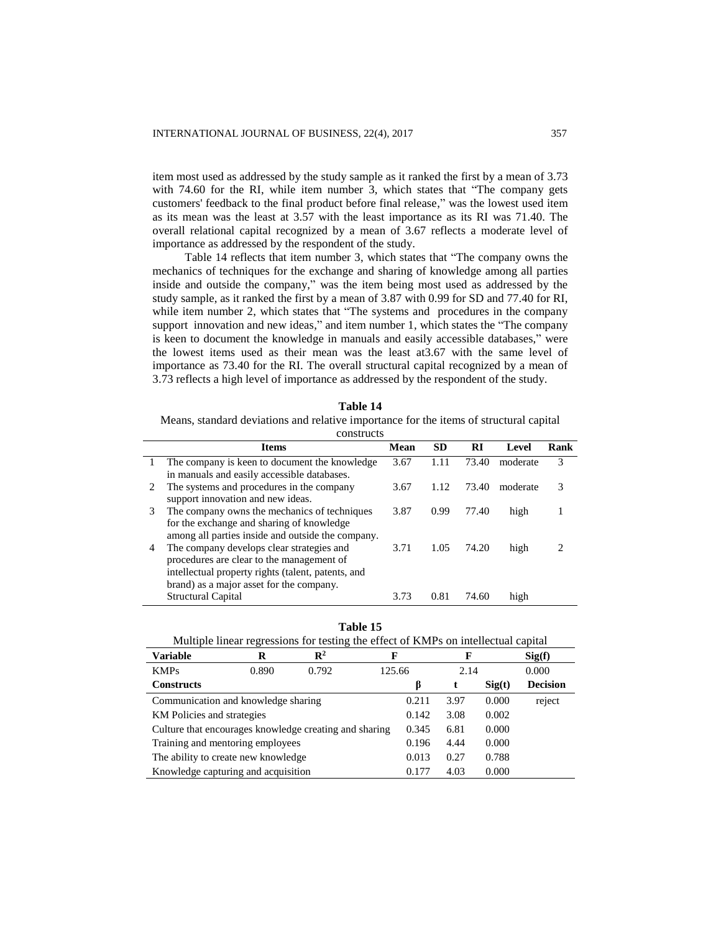item most used as addressed by the study sample as it ranked the first by a mean of 3.73 with 74.60 for the RI, while item number 3, which states that "The company gets customers' feedback to the final product before final release," was the lowest used item as its mean was the least at 3.57 with the least importance as its RI was 71.40. The overall relational capital recognized by a mean of 3.67 reflects a moderate level of importance as addressed by the respondent of the study.

Table 14 reflects that item number 3, which states that "The company owns the mechanics of techniques for the exchange and sharing of knowledge among all parties inside and outside the company," was the item being most used as addressed by the study sample, as it ranked the first by a mean of 3.87 with 0.99 for SD and 77.40 for RI, while item number 2, which states that "The systems and procedures in the company support innovation and new ideas," and item number 1, which states the "The company is keen to document the knowledge in manuals and easily accessible databases," were the lowest items used as their mean was the least at3.67 with the same level of importance as 73.40 for the RI. The overall structural capital recognized by a mean of 3.73 reflects a high level of importance as addressed by the respondent of the study.

| Table 14 |  |
|----------|--|
|----------|--|

Means, standard deviations and relative importance for the items of structural capital

|    | <b>Items</b>                                       | Mean | <b>SD</b> | RI    | Level    | Rank |
|----|----------------------------------------------------|------|-----------|-------|----------|------|
| т. | The company is keen to document the knowledge      | 3.67 | 1.11      | 73.40 | moderate | 3    |
|    | in manuals and easily accessible databases.        |      |           |       |          |      |
| 2  | The systems and procedures in the company          | 3.67 | 1.12      | 73.40 | moderate | 3    |
|    | support innovation and new ideas.                  |      |           |       |          |      |
| 3  | The company owns the mechanics of techniques       | 3.87 | 0.99      | 77.40 | high     |      |
|    | for the exchange and sharing of knowledge          |      |           |       |          |      |
|    | among all parties inside and outside the company.  |      |           |       |          |      |
| 4  | The company develops clear strategies and          | 3.71 | 1.05      | 74.20 | high     |      |
|    | procedures are clear to the management of          |      |           |       |          |      |
|    | intellectual property rights (talent, patents, and |      |           |       |          |      |
|    | brand) as a major asset for the company.           |      |           |       |          |      |
|    | <b>Structural Capital</b>                          | 3.73 | 0.81      | 74.60 | high     |      |

| l'able |  |
|--------|--|
|--------|--|

| Multiple linear regressions for testing the effect of KMPs on intellectual capital |       |                |        |       |       |        |                 |  |
|------------------------------------------------------------------------------------|-------|----------------|--------|-------|-------|--------|-----------------|--|
| <b>Variable</b>                                                                    | R     | $\mathbb{R}^2$ | F      |       | F     |        | Sig(f)          |  |
| <b>KMPs</b>                                                                        | 0.890 | 0.792          | 125.66 |       | 2.14  |        | 0.000           |  |
| <b>Constructs</b>                                                                  |       |                |        | ß     | t     | Sig(t) | <b>Decision</b> |  |
| Communication and knowledge sharing                                                |       |                |        | 0.211 | 3.97  | 0.000  | reject          |  |
| KM Policies and strategies                                                         |       |                |        | 0.142 | 3.08  | 0.002  |                 |  |
| Culture that encourages knowledge creating and sharing                             |       |                |        | 0.345 | 6.81  | 0.000  |                 |  |
| Training and mentoring employees                                                   |       |                |        | 0.196 | 4.44  | 0.000  |                 |  |
| The ability to create new knowledge                                                |       |                |        | 0.013 | 0.27  | 0.788  |                 |  |
| Knowledge capturing and acquisition<br>0.177<br>4.03                               |       |                |        |       | 0.000 |        |                 |  |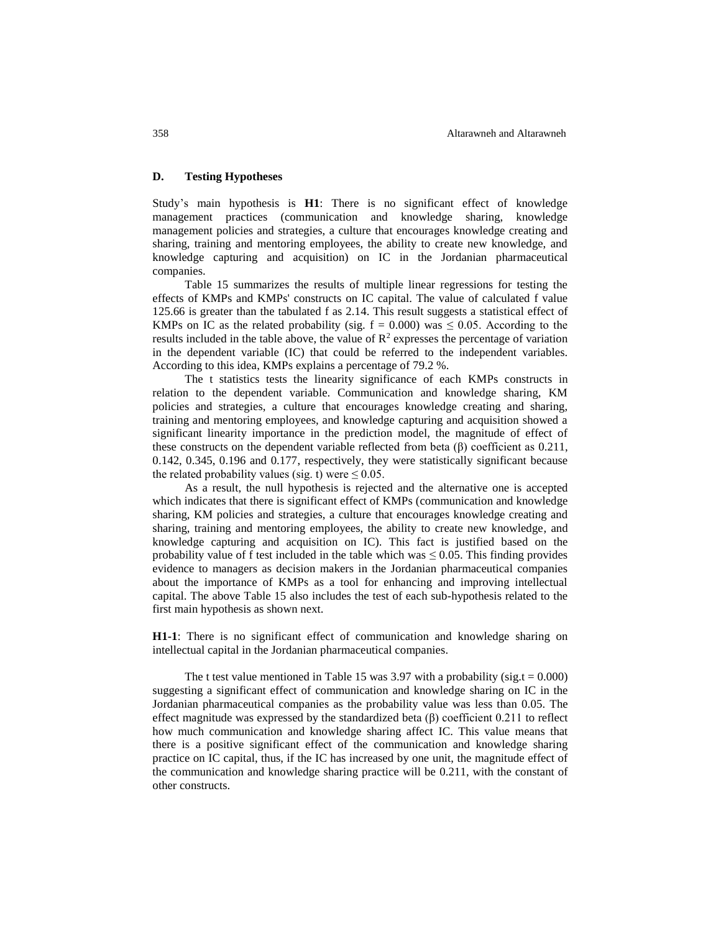# **D. Testing Hypotheses**

Study's main hypothesis is **H1**: There is no significant effect of knowledge management practices (communication and knowledge sharing, knowledge management policies and strategies, a culture that encourages knowledge creating and sharing, training and mentoring employees, the ability to create new knowledge, and knowledge capturing and acquisition) on IC in the Jordanian pharmaceutical companies.

Table 15 summarizes the results of multiple linear regressions for testing the effects of KMPs and KMPs' constructs on IC capital. The value of calculated f value 125.66 is greater than the tabulated f as 2.14. This result suggests a statistical effect of KMPs on IC as the related probability (sig.  $f = 0.000$ ) was  $\leq 0.05$ . According to the results included in the table above, the value of  $\mathbb{R}^2$  expresses the percentage of variation in the dependent variable (IC) that could be referred to the independent variables. According to this idea, KMPs explains a percentage of 79.2 %.

The t statistics tests the linearity significance of each KMPs constructs in relation to the dependent variable. Communication and knowledge sharing, KM policies and strategies, a culture that encourages knowledge creating and sharing, training and mentoring employees, and knowledge capturing and acquisition showed a significant linearity importance in the prediction model, the magnitude of effect of these constructs on the dependent variable reflected from beta  $(\beta)$  coefficient as 0.211, 0.142, 0.345, 0.196 and 0.177, respectively, they were statistically significant because the related probability values (sig. t) were  $\leq 0.05$ .

As a result, the null hypothesis is rejected and the alternative one is accepted which indicates that there is significant effect of KMPs (communication and knowledge sharing, KM policies and strategies, a culture that encourages knowledge creating and sharing, training and mentoring employees, the ability to create new knowledge, and knowledge capturing and acquisition on IC). This fact is justified based on the probability value of f test included in the table which was  $\leq 0.05$ . This finding provides evidence to managers as decision makers in the Jordanian pharmaceutical companies about the importance of KMPs as a tool for enhancing and improving intellectual capital. The above Table 15 also includes the test of each sub-hypothesis related to the first main hypothesis as shown next.

**H1-1**: There is no significant effect of communication and knowledge sharing on intellectual capital in the Jordanian pharmaceutical companies.

The t test value mentioned in Table 15 was 3.97 with a probability (sig.t =  $0.000$ ) suggesting a significant effect of communication and knowledge sharing on IC in the Jordanian pharmaceutical companies as the probability value was less than 0.05. The effect magnitude was expressed by the standardized beta  $(\beta)$  coefficient 0.211 to reflect how much communication and knowledge sharing affect IC. This value means that there is a positive significant effect of the communication and knowledge sharing practice on IC capital, thus, if the IC has increased by one unit, the magnitude effect of the communication and knowledge sharing practice will be 0.211, with the constant of other constructs.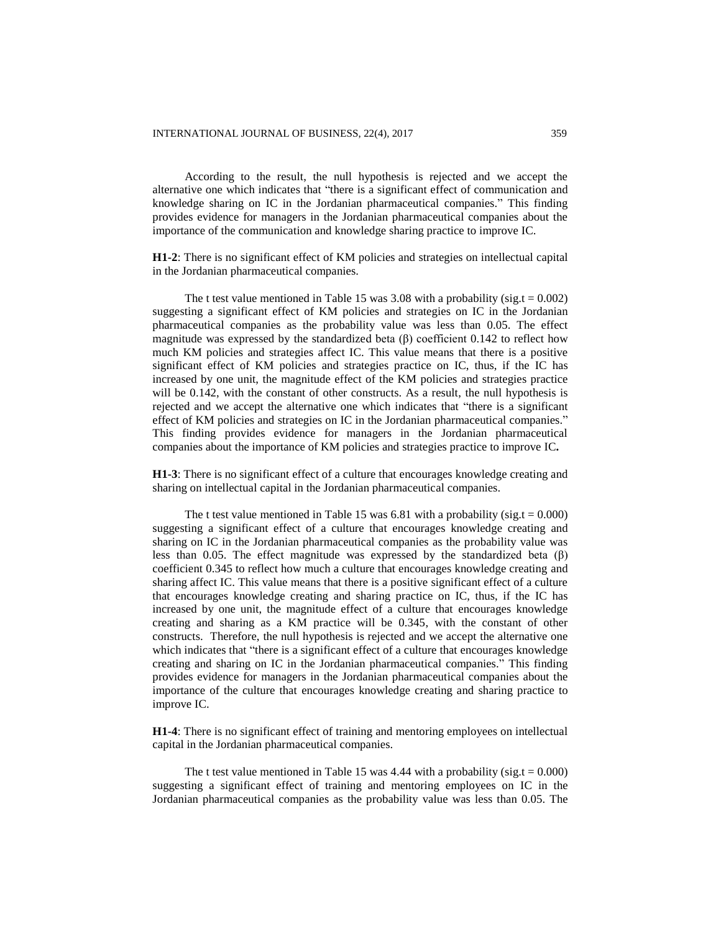According to the result, the null hypothesis is rejected and we accept the alternative one which indicates that "there is a significant effect of communication and knowledge sharing on IC in the Jordanian pharmaceutical companies." This finding provides evidence for managers in the Jordanian pharmaceutical companies about the importance of the communication and knowledge sharing practice to improve IC.

**H1-2**: There is no significant effect of KM policies and strategies on intellectual capital in the Jordanian pharmaceutical companies.

The t test value mentioned in Table 15 was 3.08 with a probability (sig.t =  $0.002$ ) suggesting a significant effect of KM policies and strategies on IC in the Jordanian pharmaceutical companies as the probability value was less than 0.05. The effect magnitude was expressed by the standardized beta  $(\beta)$  coefficient 0.142 to reflect how much KM policies and strategies affect IC. This value means that there is a positive significant effect of KM policies and strategies practice on IC, thus, if the IC has increased by one unit, the magnitude effect of the KM policies and strategies practice will be 0.142, with the constant of other constructs. As a result, the null hypothesis is rejected and we accept the alternative one which indicates that "there is a significant effect of KM policies and strategies on IC in the Jordanian pharmaceutical companies." This finding provides evidence for managers in the Jordanian pharmaceutical companies about the importance of KM policies and strategies practice to improve IC**.**

**H1-3**: There is no significant effect of a culture that encourages knowledge creating and sharing on intellectual capital in the Jordanian pharmaceutical companies.

The t test value mentioned in Table 15 was 6.81 with a probability (sig.t =  $0.000$ ) suggesting a significant effect of a culture that encourages knowledge creating and sharing on IC in the Jordanian pharmaceutical companies as the probability value was less than 0.05. The effect magnitude was expressed by the standardized beta  $(\beta)$ coefficient 0.345 to reflect how much a culture that encourages knowledge creating and sharing affect IC. This value means that there is a positive significant effect of a culture that encourages knowledge creating and sharing practice on IC, thus, if the IC has increased by one unit, the magnitude effect of a culture that encourages knowledge creating and sharing as a KM practice will be 0.345, with the constant of other constructs. Therefore, the null hypothesis is rejected and we accept the alternative one which indicates that "there is a significant effect of a culture that encourages knowledge creating and sharing on IC in the Jordanian pharmaceutical companies." This finding provides evidence for managers in the Jordanian pharmaceutical companies about the importance of the culture that encourages knowledge creating and sharing practice to improve IC.

**H1-4**: There is no significant effect of training and mentoring employees on intellectual capital in the Jordanian pharmaceutical companies.

The t test value mentioned in Table 15 was 4.44 with a probability ( $sig.t = 0.000$ ) suggesting a significant effect of training and mentoring employees on IC in the Jordanian pharmaceutical companies as the probability value was less than 0.05. The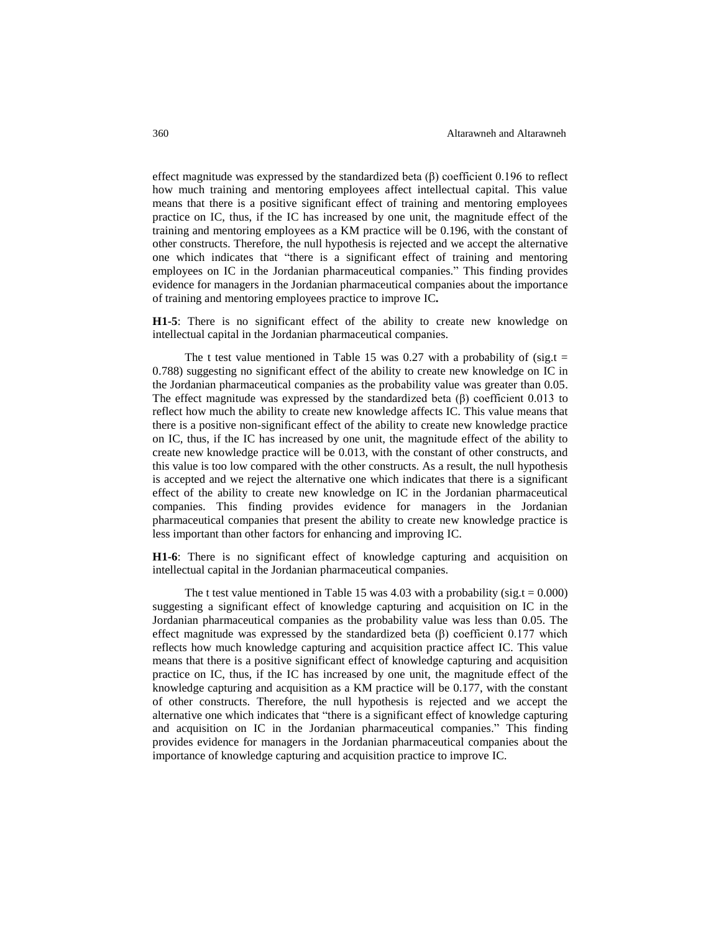effect magnitude was expressed by the standardized beta  $(\beta)$  coefficient 0.196 to reflect how much training and mentoring employees affect intellectual capital. This value means that there is a positive significant effect of training and mentoring employees practice on IC, thus, if the IC has increased by one unit, the magnitude effect of the training and mentoring employees as a KM practice will be 0.196, with the constant of other constructs. Therefore, the null hypothesis is rejected and we accept the alternative one which indicates that "there is a significant effect of training and mentoring employees on IC in the Jordanian pharmaceutical companies." This finding provides evidence for managers in the Jordanian pharmaceutical companies about the importance of training and mentoring employees practice to improve IC**.**

**H1-5**: There is no significant effect of the ability to create new knowledge on intellectual capital in the Jordanian pharmaceutical companies.

The t test value mentioned in Table 15 was 0.27 with a probability of (sig.t  $=$ 0.788) suggesting no significant effect of the ability to create new knowledge on IC in the Jordanian pharmaceutical companies as the probability value was greater than 0.05. The effect magnitude was expressed by the standardized beta  $(\beta)$  coefficient 0.013 to reflect how much the ability to create new knowledge affects IC. This value means that there is a positive non-significant effect of the ability to create new knowledge practice on IC, thus, if the IC has increased by one unit, the magnitude effect of the ability to create new knowledge practice will be 0.013, with the constant of other constructs, and this value is too low compared with the other constructs. As a result, the null hypothesis is accepted and we reject the alternative one which indicates that there is a significant effect of the ability to create new knowledge on IC in the Jordanian pharmaceutical companies. This finding provides evidence for managers in the Jordanian pharmaceutical companies that present the ability to create new knowledge practice is less important than other factors for enhancing and improving IC.

**H1-6**: There is no significant effect of knowledge capturing and acquisition on intellectual capital in the Jordanian pharmaceutical companies.

The t test value mentioned in Table 15 was 4.03 with a probability (sig.t =  $0.000$ ) suggesting a significant effect of knowledge capturing and acquisition on IC in the Jordanian pharmaceutical companies as the probability value was less than 0.05. The effect magnitude was expressed by the standardized beta  $(\beta)$  coefficient 0.177 which reflects how much knowledge capturing and acquisition practice affect IC. This value means that there is a positive significant effect of knowledge capturing and acquisition practice on IC, thus, if the IC has increased by one unit, the magnitude effect of the knowledge capturing and acquisition as a KM practice will be 0.177, with the constant of other constructs. Therefore, the null hypothesis is rejected and we accept the alternative one which indicates that "there is a significant effect of knowledge capturing and acquisition on IC in the Jordanian pharmaceutical companies." This finding provides evidence for managers in the Jordanian pharmaceutical companies about the importance of knowledge capturing and acquisition practice to improve IC.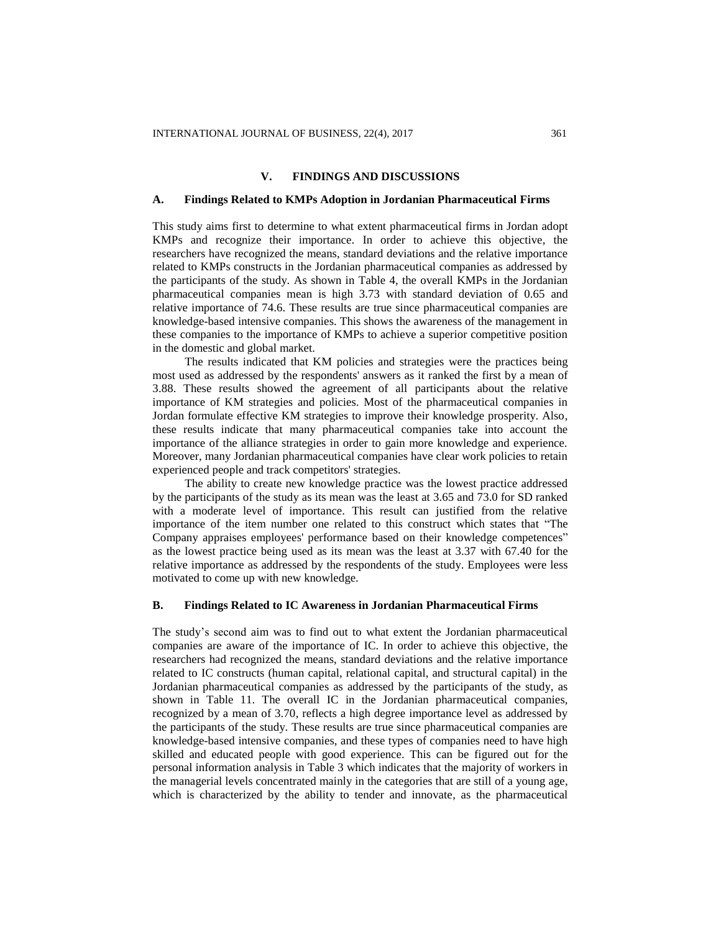#### **V. FINDINGS AND DISCUSSIONS**

#### **A. Findings Related to KMPs Adoption in Jordanian Pharmaceutical Firms**

This study aims first to determine to what extent pharmaceutical firms in Jordan adopt KMPs and recognize their importance. In order to achieve this objective, the researchers have recognized the means, standard deviations and the relative importance related to KMPs constructs in the Jordanian pharmaceutical companies as addressed by the participants of the study. As shown in Table 4, the overall KMPs in the Jordanian pharmaceutical companies mean is high 3.73 with standard deviation of 0.65 and relative importance of 74.6. These results are true since pharmaceutical companies are knowledge-based intensive companies. This shows the awareness of the management in these companies to the importance of KMPs to achieve a superior competitive position in the domestic and global market.

The results indicated that KM policies and strategies were the practices being most used as addressed by the respondents' answers as it ranked the first by a mean of 3.88. These results showed the agreement of all participants about the relative importance of KM strategies and policies. Most of the pharmaceutical companies in Jordan formulate effective KM strategies to improve their knowledge prosperity. Also, these results indicate that many pharmaceutical companies take into account the importance of the alliance strategies in order to gain more knowledge and experience. Moreover, many Jordanian pharmaceutical companies have clear work policies to retain experienced people and track competitors' strategies.

The ability to create new knowledge practice was the lowest practice addressed by the participants of the study as its mean was the least at 3.65 and 73.0 for SD ranked with a moderate level of importance. This result can justified from the relative importance of the item number one related to this construct which states that "The Company appraises employees' performance based on their knowledge competences" as the lowest practice being used as its mean was the least at 3.37 with 67.40 for the relative importance as addressed by the respondents of the study. Employees were less motivated to come up with new knowledge.

#### **B. Findings Related to IC Awareness in Jordanian Pharmaceutical Firms**

The study's second aim was to find out to what extent the Jordanian pharmaceutical companies are aware of the importance of IC. In order to achieve this objective, the researchers had recognized the means, standard deviations and the relative importance related to IC constructs (human capital, relational capital, and structural capital) in the Jordanian pharmaceutical companies as addressed by the participants of the study, as shown in Table 11. The overall IC in the Jordanian pharmaceutical companies, recognized by a mean of 3.70, reflects a high degree importance level as addressed by the participants of the study. These results are true since pharmaceutical companies are knowledge-based intensive companies, and these types of companies need to have high skilled and educated people with good experience. This can be figured out for the personal information analysis in Table 3 which indicates that the majority of workers in the managerial levels concentrated mainly in the categories that are still of a young age, which is characterized by the ability to tender and innovate, as the pharmaceutical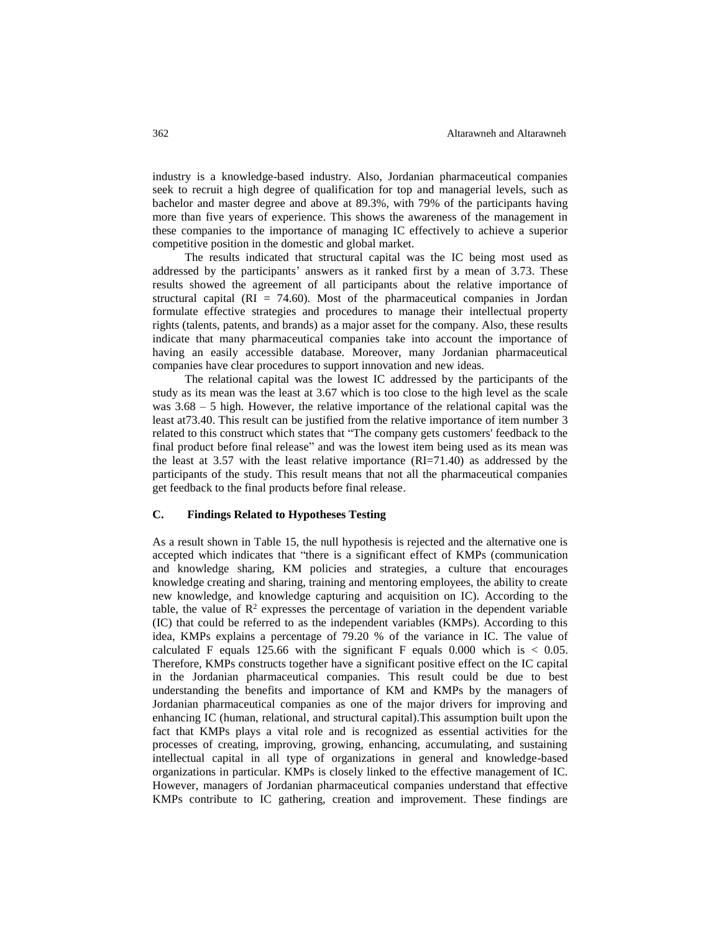industry is a knowledge-based industry. Also, Jordanian pharmaceutical companies seek to recruit a high degree of qualification for top and managerial levels, such as bachelor and master degree and above at 89.3%, with 79% of the participants having more than five years of experience. This shows the awareness of the management in these companies to the importance of managing IC effectively to achieve a superior competitive position in the domestic and global market.

The results indicated that structural capital was the IC being most used as addressed by the participants' answers as it ranked first by a mean of 3.73. These results showed the agreement of all participants about the relative importance of structural capital  $(RI = 74.60)$ . Most of the pharmaceutical companies in Jordan formulate effective strategies and procedures to manage their intellectual property rights (talents, patents, and brands) as a major asset for the company. Also, these results indicate that many pharmaceutical companies take into account the importance of having an easily accessible database. Moreover, many Jordanian pharmaceutical companies have clear procedures to support innovation and new ideas.

The relational capital was the lowest IC addressed by the participants of the study as its mean was the least at 3.67 which is too close to the high level as the scale was 3.68 – 5 high. However, the relative importance of the relational capital was the least at73.40. This result can be justified from the relative importance of item number 3 related to this construct which states that "The company gets customers' feedback to the final product before final release" and was the lowest item being used as its mean was the least at 3.57 with the least relative importance (RI=71.40) as addressed by the participants of the study. This result means that not all the pharmaceutical companies get feedback to the final products before final release.

## **C. Findings Related to Hypotheses Testing**

As a result shown in Table 15, the null hypothesis is rejected and the alternative one is accepted which indicates that "there is a significant effect of KMPs (communication and knowledge sharing, KM policies and strategies, a culture that encourages knowledge creating and sharing, training and mentoring employees, the ability to create new knowledge, and knowledge capturing and acquisition on IC). According to the table, the value of  $\mathbb{R}^2$  expresses the percentage of variation in the dependent variable (IC) that could be referred to as the independent variables (KMPs). According to this idea, KMPs explains a percentage of 79.20 % of the variance in IC. The value of calculated F equals 125.66 with the significant F equals  $0.000$  which is  $< 0.05$ . Therefore, KMPs constructs together have a significant positive effect on the IC capital in the Jordanian pharmaceutical companies. This result could be due to best understanding the benefits and importance of KM and KMPs by the managers of Jordanian pharmaceutical companies as one of the major drivers for improving and enhancing IC (human, relational, and structural capital).This assumption built upon the fact that KMPs plays a vital role and is recognized as essential activities for the processes of creating, improving, growing, enhancing, accumulating, and sustaining intellectual capital in all type of organizations in general and knowledge-based organizations in particular. KMPs is closely linked to the effective management of IC. However, managers of Jordanian pharmaceutical companies understand that effective KMPs contribute to IC gathering, creation and improvement. These findings are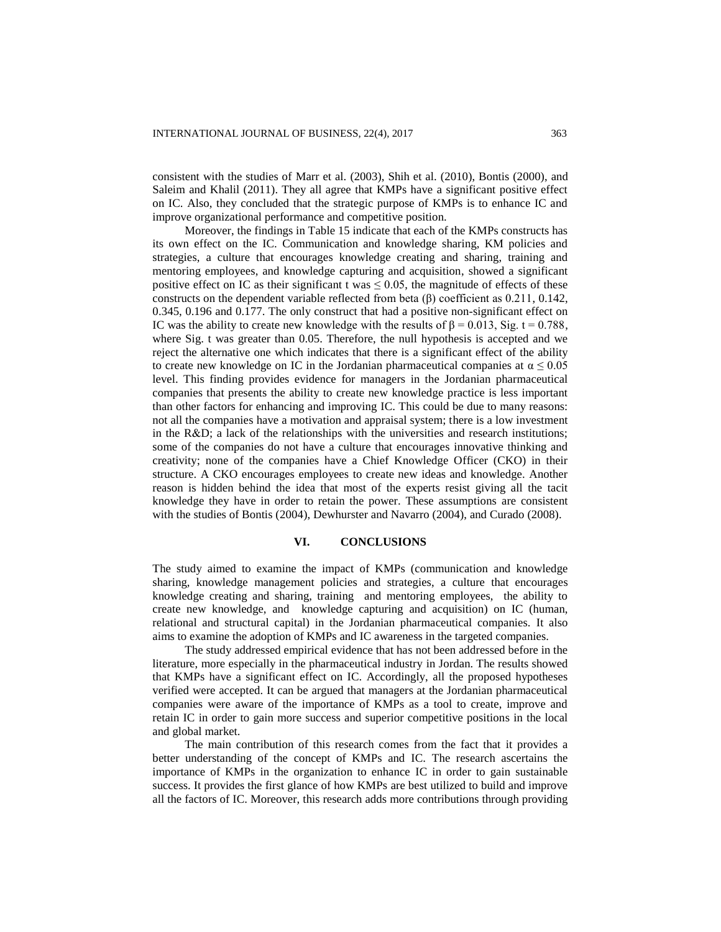consistent with the studies of Marr et al. (2003), Shih et al. (2010), Bontis (2000), and Saleim and Khalil (2011). They all agree that KMPs have a significant positive effect on IC. Also, they concluded that the strategic purpose of KMPs is to enhance IC and improve organizational performance and competitive position.

Moreover, the findings in Table 15 indicate that each of the KMPs constructs has its own effect on the IC. Communication and knowledge sharing, KM policies and strategies, a culture that encourages knowledge creating and sharing, training and mentoring employees, and knowledge capturing and acquisition, showed a significant positive effect on IC as their significant t was  $\leq 0.05$ , the magnitude of effects of these constructs on the dependent variable reflected from beta (β) coefficient as 0.211, 0.142, 0.345, 0.196 and 0.177. The only construct that had a positive non-significant effect on IC was the ability to create new knowledge with the results of  $β = 0.013$ , Sig. t = 0.788, where Sig. t was greater than 0.05. Therefore, the null hypothesis is accepted and we reject the alternative one which indicates that there is a significant effect of the ability to create new knowledge on IC in the Jordanian pharmaceutical companies at  $\alpha \leq 0.05$ level. This finding provides evidence for managers in the Jordanian pharmaceutical companies that presents the ability to create new knowledge practice is less important than other factors for enhancing and improving IC. This could be due to many reasons: not all the companies have a motivation and appraisal system; there is a low investment in the R&D; a lack of the relationships with the universities and research institutions; some of the companies do not have a culture that encourages innovative thinking and creativity; none of the companies have a Chief Knowledge Officer (CKO) in their structure. A CKO encourages employees to create new ideas and knowledge. Another reason is hidden behind the idea that most of the experts resist giving all the tacit knowledge they have in order to retain the power. These assumptions are consistent with the studies of Bontis (2004), Dewhurster and Navarro (2004), and Curado (2008).

## **VI. CONCLUSIONS**

The study aimed to examine the impact of KMPs (communication and knowledge sharing, knowledge management policies and strategies, a culture that encourages knowledge creating and sharing, training and mentoring employees, the ability to create new knowledge, and knowledge capturing and acquisition) on IC (human, relational and structural capital) in the Jordanian pharmaceutical companies. It also aims to examine the adoption of KMPs and IC awareness in the targeted companies.

The study addressed empirical evidence that has not been addressed before in the literature, more especially in the pharmaceutical industry in Jordan. The results showed that KMPs have a significant effect on IC. Accordingly, all the proposed hypotheses verified were accepted. It can be argued that managers at the Jordanian pharmaceutical companies were aware of the importance of KMPs as a tool to create, improve and retain IC in order to gain more success and superior competitive positions in the local and global market.

The main contribution of this research comes from the fact that it provides a better understanding of the concept of KMPs and IC. The research ascertains the importance of KMPs in the organization to enhance IC in order to gain sustainable success. It provides the first glance of how KMPs are best utilized to build and improve all the factors of IC. Moreover, this research adds more contributions through providing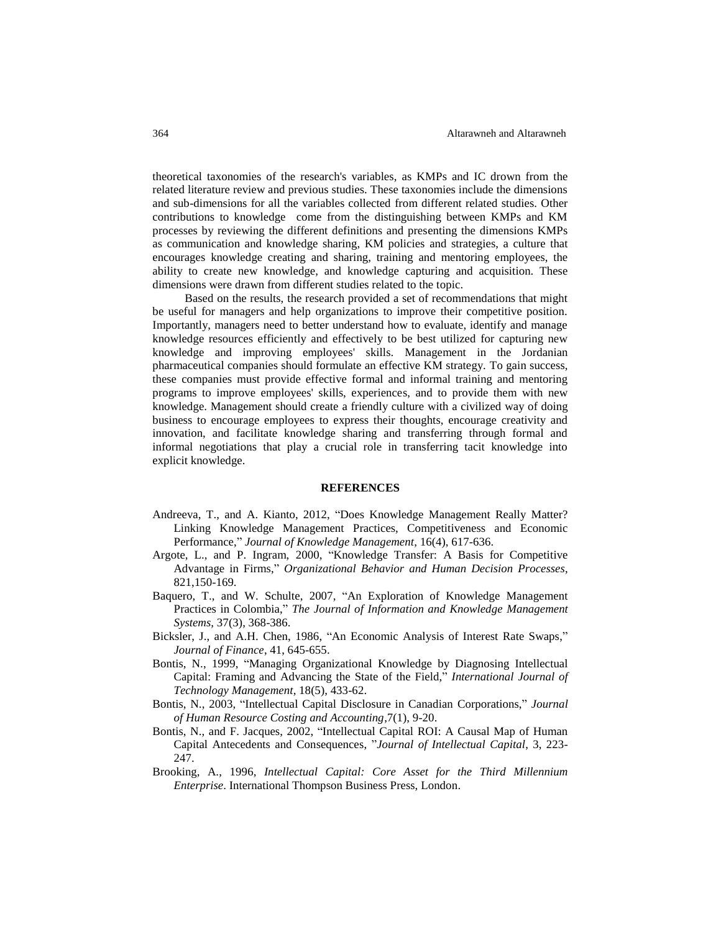theoretical taxonomies of the research's variables, as KMPs and IC drown from the related literature review and previous studies. These taxonomies include the dimensions and sub-dimensions for all the variables collected from different related studies. Other contributions to knowledge come from the distinguishing between KMPs and KM processes by reviewing the different definitions and presenting the dimensions KMPs as communication and knowledge sharing, KM policies and strategies, a culture that encourages knowledge creating and sharing, training and mentoring employees, the ability to create new knowledge, and knowledge capturing and acquisition. These dimensions were drawn from different studies related to the topic.

Based on the results, the research provided a set of recommendations that might be useful for managers and help organizations to improve their competitive position. Importantly, managers need to better understand how to evaluate, identify and manage knowledge resources efficiently and effectively to be best utilized for capturing new knowledge and improving employees' skills. Management in the Jordanian pharmaceutical companies should formulate an effective KM strategy. To gain success, these companies must provide effective formal and informal training and mentoring programs to improve employees' skills, experiences, and to provide them with new knowledge. Management should create a friendly culture with a civilized way of doing business to encourage employees to express their thoughts, encourage creativity and innovation, and facilitate knowledge sharing and transferring through formal and informal negotiations that play a crucial role in transferring tacit knowledge into explicit knowledge.

#### **REFERENCES**

- Andreeva, T., and A. Kianto, 2012, "Does Knowledge Management Really Matter? Linking Knowledge Management Practices, Competitiveness and Economic Performance," *Journal of Knowledge Management*, 16(4), 617-636.
- Argote, L., and P. Ingram, 2000, "Knowledge Transfer: A Basis for Competitive Advantage in Firms," *Organizational Behavior and Human Decision Processes*, 821,150-169.
- Baquero, T., and W. Schulte, 2007, "An Exploration of Knowledge Management Practices in Colombia," *The Journal of Information and Knowledge Management Systems*, 37(3), 368-386.
- Bicksler, J., and A.H. Chen, 1986, "An Economic Analysis of Interest Rate Swaps," *Journal of Finance*, 41, 645-655.
- Bontis, N., 1999, "Managing Organizational Knowledge by Diagnosing Intellectual Capital: Framing and Advancing the State of the Field," *International Journal of Technology Management*, 18(5), 433-62.
- Bontis, N., 2003, "Intellectual Capital Disclosure in Canadian Corporations," *Journal of Human Resource Costing and Accounting*,7(1), 9-20.
- Bontis, N., and F. Jacques, 2002, "Intellectual Capital ROI: A Causal Map of Human Capital Antecedents and Consequences, "*Journal of Intellectual Capital*, 3, 223- 247.
- Brooking, A., 1996, *Intellectual Capital: Core Asset for the Third Millennium Enterprise*. International Thompson Business Press, London.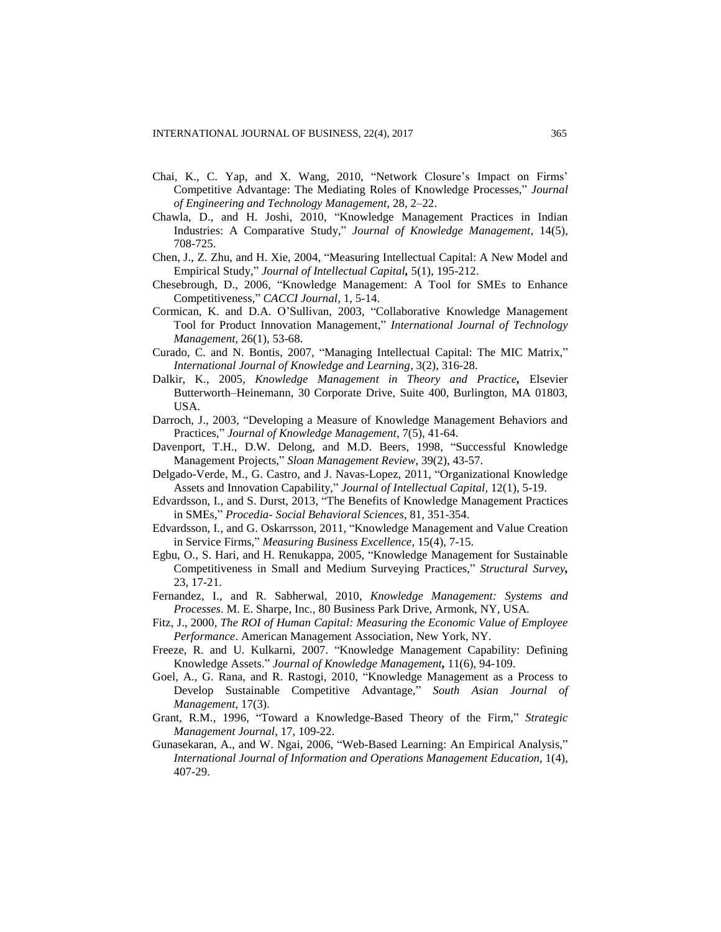- Chai, K., C. Yap, and X. Wang, 2010, "Network Closure's Impact on Firms' Competitive Advantage: The Mediating Roles of Knowledge Processes," *Journal of Engineering and Technology Management,* 28, 2–22.
- Chawla, D., and H. Joshi, 2010, "Knowledge Management Practices in Indian Industries: A Comparative Study," *Journal of Knowledge Management*, 14(5), 708-725.
- Chen, J., Z. Zhu, and H. Xie, 2004, "Measuring Intellectual Capital: A New Model and Empirical Study," *Journal of Intellectual Capital,* 5(1), 195-212.
- Chesebrough, D., 2006, "Knowledge Management: A Tool for SMEs to Enhance Competitiveness," *CACCI Journal*, 1, 5-14.
- Cormican, K. and D.A. O'Sullivan, 2003, "Collaborative Knowledge Management Tool for Product Innovation Management," *International Journal of Technology Management*, 26(1), 53-68.
- Curado, C. and N. Bontis, 2007, "Managing Intellectual Capital: The MIC Matrix," *International Journal of Knowledge and Learning*, 3(2), 316-28.
- Dalkir, K., 2005, *Knowledge Management in Theory and Practice,* Elsevier Butterworth–Heinemann, 30 Corporate Drive, Suite 400, Burlington, MA 01803, USA.
- Darroch, J., 2003, "Developing a Measure of Knowledge Management Behaviors and Practices," *Journal of Knowledge Management*, 7(5), 41-64.
- Davenport, T.H., D.W. Delong, and M.D. Beers, 1998, "Successful Knowledge Management Projects," *Sloan Management Review*, 39(2), 43-57.
- Delgado-Verde, M., G. Castro, and J. Navas-Lopez, 2011, "Organizational Knowledge Assets and Innovation Capability," *Journal of Intellectual Capital*, 12(1), 5-19.
- Edvardsson, I., and S. Durst, 2013, "The Benefits of Knowledge Management Practices in SMEs," *Procedia- Social Behavioral Sciences*, 81, 351-354.
- Edvardsson, I., and G. Oskarrsson, 2011, "Knowledge Management and Value Creation in Service Firms," *Measuring Business Excellence*, 15(4), 7-15.
- Egbu, O., S. Hari, and H. Renukappa, 2005, "Knowledge Management for Sustainable Competitiveness in Small and Medium Surveying Practices," *Structural Survey,* 23, 17-21.
- Fernandez, I., and R. Sabherwal, 2010, *Knowledge Management: Systems and Processes*. M. E. Sharpe, Inc., 80 Business Park Drive, Armonk, NY, USA.
- Fitz, J., 2000, *The ROI of Human Capital: Measuring the Economic Value of Employee Performance*. American Management Association, New York, NY.
- Freeze, R. and U. Kulkarni, 2007. "Knowledge Management Capability: Defining Knowledge Assets." *Journal of Knowledge Management,* 11(6), 94-109.
- Goel, A., G. Rana, and R. Rastogi, 2010, "Knowledge Management as a Process to Develop Sustainable Competitive Advantage," *South Asian Journal of Management*, 17(3).
- Grant, R.M., 1996, "Toward a Knowledge-Based Theory of the Firm," *Strategic Management Journal*, 17, 109-22.
- Gunasekaran, A., and W. Ngai, 2006, "Web-Based Learning: An Empirical Analysis," *International Journal of Information and Operations Management Education*, 1(4), 407-29.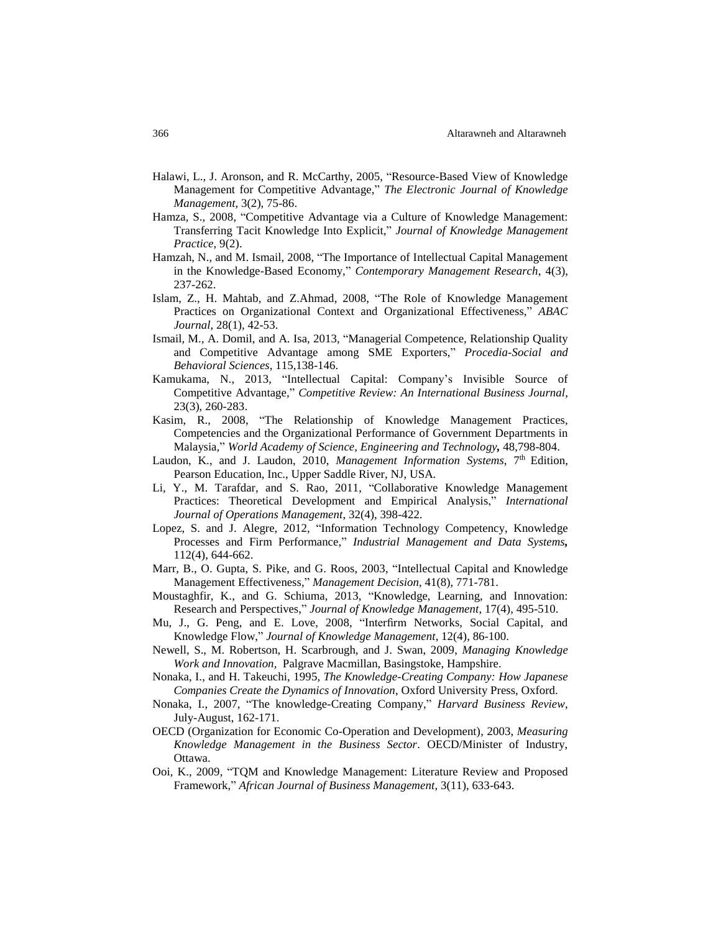- Halawi, L., J. Aronson, and R. McCarthy, 2005, "Resource-Based View of Knowledge Management for Competitive Advantage," *The Electronic Journal of Knowledge Management*, 3(2), 75-86.
- Hamza, S., 2008, "Competitive Advantage via a Culture of Knowledge Management: Transferring Tacit Knowledge Into Explicit," *Journal of Knowledge Management Practice*, 9(2).
- Hamzah, N., and M. Ismail, 2008, "The Importance of Intellectual Capital Management in the Knowledge-Based Economy," *Contemporary Management Research*, 4(3), 237-262.
- Islam, Z., H. Mahtab, and Z.Ahmad, 2008, "The Role of Knowledge Management Practices on Organizational Context and Organizational Effectiveness," *ABAC Journal*, 28(1), 42-53.
- Ismail, M., A. Domil, and A. Isa, 2013, "Managerial Competence, Relationship Quality and Competitive Advantage among SME Exporters," *Procedia-Social and Behavioral Sciences*, 115,138-146.
- Kamukama, N., 2013, "Intellectual Capital: Company's Invisible Source of Competitive Advantage," *Competitive Review: An International Business Journal*, 23(3), 260-283.
- Kasim, R., 2008, "The Relationship of Knowledge Management Practices, Competencies and the Organizational Performance of Government Departments in Malaysia," *World Academy of Science, Engineering and Technology,* 48,798-804.
- Laudon, K., and J. Laudon, 2010, *Management Information Systems*, 7<sup>th</sup> Edition, Pearson Education, Inc., Upper Saddle River, NJ, USA.
- Li, Y., M. Tarafdar, and S. Rao, 2011, "Collaborative Knowledge Management Practices: Theoretical Development and Empirical Analysis," *International Journal of Operations Management*, 32(4), 398-422.
- Lopez, S. and J. Alegre, 2012, "Information Technology Competency, Knowledge Processes and Firm Performance," *Industrial Management and Data Systems,* 112(4), 644-662.
- Marr, B., O. Gupta, S. Pike, and G. Roos, 2003, "Intellectual Capital and Knowledge Management Effectiveness," *Management Decision*, 41(8), 771-781.
- Moustaghfir, K., and G. Schiuma, 2013, "Knowledge, Learning, and Innovation: Research and Perspectives," *Journal of Knowledge Management*, 17(4), 495-510.
- Mu, J., G. Peng, and E. Love, 2008, "Interfirm Networks, Social Capital, and Knowledge Flow," *Journal of Knowledge Management*, 12(4), 86-100.
- Newell, S., M. Robertson, H. Scarbrough, and J. Swan, 2009, *Managing Knowledge Work and Innovation,* Palgrave Macmillan, Basingstoke, Hampshire.
- Nonaka, I., and H. Takeuchi, 1995, *The Knowledge-Creating Company: How Japanese Companies Create the Dynamics of Innovation*, Oxford University Press, Oxford.
- Nonaka, I., 2007, "The knowledge-Creating Company," *Harvard Business Review*, July-August, 162-171.
- OECD (Organization for Economic Co-Operation and Development), 2003, *Measuring Knowledge Management in the Business Sector*. OECD/Minister of Industry, Ottawa.
- Ooi, K., 2009, "TQM and Knowledge Management: Literature Review and Proposed Framework," *African Journal of Business Management*, 3(11), 633-643.